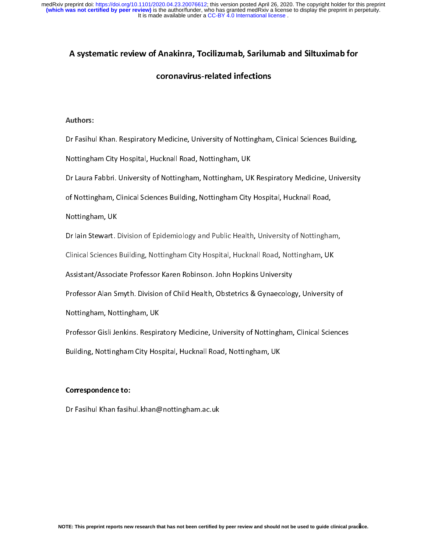## A systematic review of Anakinra, Tocilizumab, Sarilumab and Siltuximab for

## coronavirus-related infections

## $\overline{1}$ Authors:

Dr Fashhul Mann Respiratory Medicine, University Orter Inggram, University Channel Cammig)<br>Nottingham City Hospital, Hucknall Road, Nottingham, UK<br>Dr Laura Fabbri. University of Nottingham, Nottingham, UK Respiratory Medic Nottingham City Hospital, Hucknall Road, Nottingham, UN<br>Dr Laura Fabbri. University of Nottingham, Nottingham, UK<br>of Nottingham, UK<br>Nottingham, UK

of Nottingham, Clinical Sciences Building, Nottingham City Hospital, Hucknall Road,<br>Nottingham, UK<br>Dr lain Stewart. Division of Epidemiology and Public Health, University of Nottingham, of Mottingham, UK<br>Dr lain Stewart. Division of Epidemiology and Public Health, University of Nottingha<br>Clinical Sciences Building, Nottingham City Hospital, Hucknall Road, Nottingham, UK

Clinical Sciences Building, Nottingham City Hospital, Hucknall Road, Nottingham, UK<br>Assistant/Associate Professor Karen Robinson. John Hopkins University<br>Professor Alan Smyth. Division of Child Health, Obstetrics & Gynaeco

Nottingham, 21<br>Dr Iain Stewart. I<br>Clinical Sciences<br>Assistant/Associa

Clinical Sciences Building, Assistant/Associate Professor Karen Robinson. John Hopkins University<br>Professor Alan Smyth. Division of Child Health, Obstetrics & Gynaecology, University<br>Nottingham, Nottingham, UK

Professor Alan Smyth. Division of Child Health, Obstetrics & Gynaecolog<br>Nottingham, Nottingham, UK<br>Professor Gisli Jenkins. Respiratory Medicine, University of Nottingham, Professor Gisli Jenkins. Respiratory Medicine, University of Nottingham, Clinical Science<br>Professor Gisli Jenkins. Respiratory Medicine, University of Nottingham, Clinical Science<br>Building, Nottingham City Hospital, Huckna Nottingham, Nottingham, 2007<br>Professor Gisli Jenkins. Respiri<br>Building, Nottingham City Hos Professor Giantennian Respiratory Medicine, University, University, University, University, University of Not<br>Building, Nottingham City Hospital, Hucknall Road, Nottingham, UK<br>Correspondence to:

### Correspondence to:

Building, Note of the Correspondence to:<br>Building, Note of the Correspondence to:<br>Dr Fasihul Khan fasihul.khan@nottingham.ac.uk Dr Fasihul Khan fasihul.khan@nottingham.ac.uk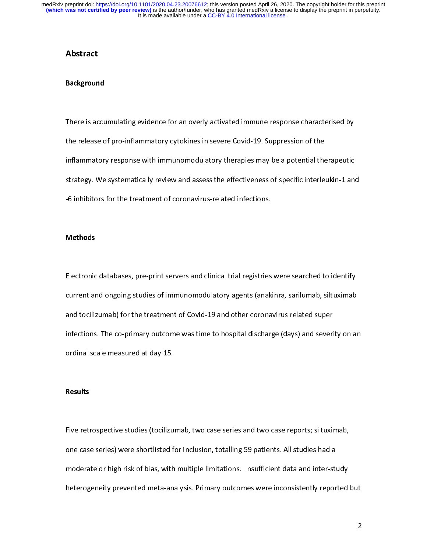## Abstract

### Background

The release of pro-inflammatory cytokines in severe Covid-19. Suppression of the<br>inflammatory response with immunomodulatory therapies may be a potential therapeutic<br>strategy. We systematically review and assess the effect the release of pro-inflammatory response with immunomodulatory therapies may be a potential the<br>strategy. We systematically review and assess the effectiveness of specific interlet<br>-6 inhibitors for the treatment of corona strategy. We systematically review and assess the effectiveness of specific interleukin-1 and<br>-6 inhibitors for the treatment of coronavirus-related infections. strategy.<br>The strategy review and assess the treatment of coronavirus-related infections.<br>The effections of specific interleuking interleuking interleuking interleuking interleuking interleuking inter<br>Strategy of specific -6 inhibitors for the treatment of coronavirus-related infections.<br>Methods

#### Methods

 $\frac{1}{2}$ Electronic databases, pre-print servers and clinical trial registries were searched to identify<br>current and ongoing studies of immunomodulatory agents (anakinra, sarilumab, siltuximab<br>and tocilizumab) for the treatment of current and ongoing statute communications,  $\eta$  agents (analysis) candidate, sindicated<br>and tocilizumab) for the treatment of Covid-19 and other coronavirus related super<br>infections. The co-primary outcome was time to hos infections. The co-primary outcome was time to hospital discharge (days) and severi<br>ordinal scale measured at day 15. infections. The computations of primary outcome was time to hospital discharge (day) and severity on an<br>ordinal scale measured at day 15.<br>Results

# ordinal scale measured at day 15.<br>Results Results

F<br>C<br>r Five retrospective studies (terms in the state studies that the state reports) studies had a<br>one case series) were shortlisted for inclusion, totalling 59 patients. All studies had a<br>moderate or high risk of bias, with mul one case series), were shortlined for including, coming 59 parameter in change may all moderate or high risk of bias, with multiple limitations. Insufficient data and inter-studies<br>heterogeneity prevented meta-analysis. Pr moderate or higher prevented meta-analysis. Primary outcomes were inconsistently reported<br>heterogeneity prevented meta-analysis. Primary outcomes were inconsistently reported heterogeneity prevented meta-analysis. Primary outcomes were inconsistently reported but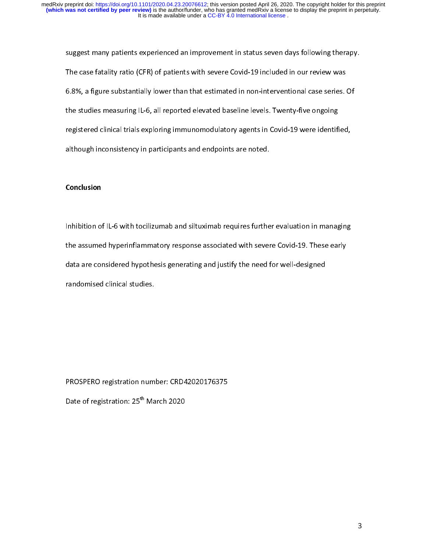suggest many patients experienced an improvement in status seven days forcing incrupy.<br>The case fatality ratio (CFR) of patients with severe Covid-19 included in our review was<br>6.8%, a figure substantially lower than that The case fatally ratio (CFR) or patients with several correlation on constraints with the SL included 6.8%, a figure substantially lower than that estimated in non-interventional case series. It<br>the studies measuring IL-6, Figure substantially lower than that estimated in non-interventional case series.<br>
the studies measuring IL-6, all reported elevated baseline levels. Twenty-five ongoing<br>
registered clinical trials exploring immunomodulato the studies measuring IL-6, and spectrum electromated baseline restriction, the singling<br>registered clinical trials exploring immunomodulatory agents in Covid-19 were identifi<br>although inconsistency in participants and end register of the control of the state of the state of the state of the state of the state increments are noted.<br> **Conclusion** although income, in participants and endpoints are noted.<br>Conclusion

### Conclusion

 $\overline{a}$ Inhibition of IL-6 with tocilizumab and siltuximab requires further evaluation in managing<br>the assumed hyperinflammatory response associated with severe Covid-19. These early<br>data are considered hypothesis generating and j data are considered hypothesis generating and justify the need for well-designed  $d$  are considered the considered clinical studies.

Date of registration: 25<sup>th</sup> March 2020<br>Date of registration: 25<sup>th</sup> March 2020 Date of registration: 25th March 2020<br>
March 2020<br>
March 2020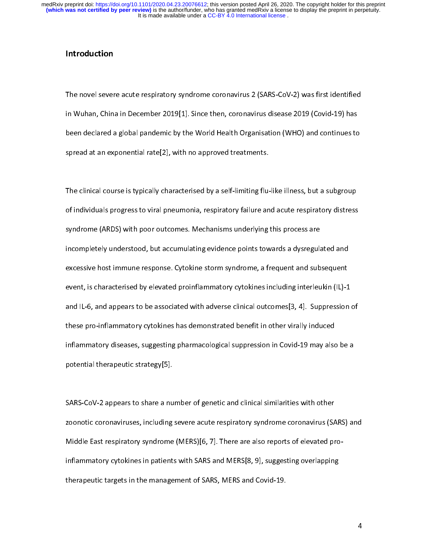It is made available under a CC-BY 4.0 International license. **(which was not certified by peer review)** is the author/funder, who has granted medRxiv a license to display the preprint in perpetuity. medRxiv preprint doi: [https://doi.org/10.1101/2020.04.23.20076612;](https://doi.org/10.1101/2020.04.23.20076612) this version posted April 26, 2020. The copyright holder for this preprint

## Introduction

 $\frac{1}{\pi}$ The novel severe acute respiratory syndrome coronavirus Licente CoV-2) was international<br>in Wuhan, China in December 2019[1]. Since then, coronavirus disease 2019 (Covid-19) has<br>been declared a global pandemic by the World in Wuhan, China in December 2019<br>been declared a global pandemic by the World Health Organisation (WHO) and continues to<br>spread at an exponential rate[2], with no approved treatments. spread at an exponential rate[2], with no approved treatments.<br>The clinical course is typically characterised by a self-limiting flu-like illness, but a subgroup

spread at an exponential relation of the clinical course is typically characterised by a self-limiting flu-<br>of individuals progress to viral pneumonia, respiratory failure an ן<br>3<br>3 The course is the contracted by the contracted by the contracted by the contracted by a syndrome (ARDS) with poor outcomes. Mechanisms underlying this process are incompletely understood, but accumulating evidence points t syndrome (ARDS) with poor outcomes. Mechanisms underlying this process are<br>incompletely understood, but accumulating evidence points towards a dysregulated and<br>excessive host immune response. Cytokine storm syndrome, a fre syndrome (ARDS) with poor outcomes incomendating evidence points towards a dysregular<br>incompletely understood, but accumulating evidence points towards a dysregular<br>excessive host immune response. Cytokine storm syndrome, excessive host immune response. Cytokine storm syndrome, a frequent and subsequent<br>event, is characterised by elevated proinflammatory cytokines including interleukin (IL)-1<br>and IL-6, and appears to be associated with adve event, is characterised by elevated proinflammatory cytokines including interleukin (IL)-1<br>and IL-6, and appears to be associated with adverse clinical outcomes[3, 4]. Suppression<br>these pro-inflammatory cytokines has demon and IL-6, and appears to be associated with adverse clinical outcomes[3, 4]. Suppression of<br>these pro-inflammatory cytokines has demonstrated benefit in other virally induced<br>inflammatory diseases, suggesting pharmacologic these pro-inflammatory cytokines has demonstrated benefit in other virally induced<br>inflammatory diseases, suggesting pharmacological suppression in Covid-19 may also be a<br>potential therapeutic strategy[5]. inflammatory diseases, suggesting pharmacological suppression in Covid-19 may also<br>potential therapeutic strategy[5]. inflammatory allows ong pharmacological suppression in Covid-19 may also be a<br>potential therapeutic strategy[5].<br>SARS-CoV-2 appears to share a number of genetic and clinical similarities with other

SARS-CoV-2 appears to share a number of genetic and clinical similarities with other<br>zoonotic coronaviruses, including severe acute respiratory syndrome coronavirus (SARS<br>Middle East respiratory syndrome (MERS)[6, 7]. Ther  $\frac{1}{2}$ zoonotic coronaviruses, including severe acute respiratory syndrome coronavirus (SARS) and<br>Middle East respiratory syndrome (MERS)[6, 7]. There are also reports of elevated pro-<br>inflammatory cytokines in patients with SARS Xandidle East respiratory syndrome (MERS)[6, 7]. There are also reports of elevated pro-<br>inflammatory cytokines in patients with SARS and MERS[8, 9], suggesting overlapping<br>therapeutic targets in the management of SARS, ME therapeutic targets in the management of SARS, MERS and Covid-19. therapeutic targets in the management of SARS, MERS and Covid-19.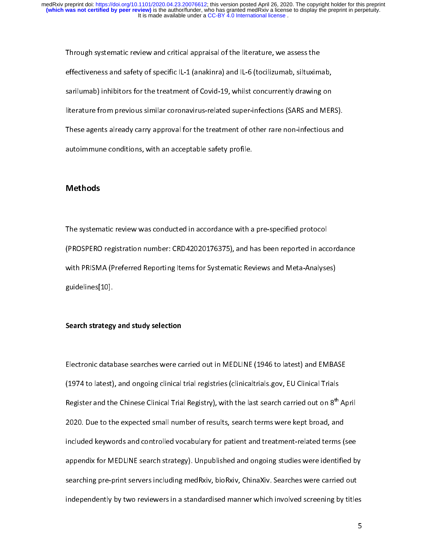Through systematic review and critical appraisal of the literature, we assess the<br>effectiveness and safety of specific IL-1 (anakinra) and IL-6 (tocilizumab, siltuximab,<br>sarilumab) inhibitors for the treatment of Covid-19, effectiveness and safety of specific L<sub>-1</sub> (and the specific IL-1 (to small mar), safilumab) inhibitors for the treatment of Covid-19, whilst concurrently drawing on literature from previous similar coronavirus-related sup startinum, and the treatment of Covid-19, while concurrently arathogonal<br>literature from previous similar coronavirus-related super-infections (SARS and MER<br>These agents already carry approval for the treatment of other ra These agents already carry approval for the treatment of other rare non-infectious and autoimmune conditions, with an acceptable safety profile. autoimmune conditions, with an acceptable safety profile.<br>Methods  $\mathsf{Methods}$ 

## **Methods**

The systematic review was conducted in accordance with a pre-specified protocol<br>(PROSPERO registration number: CRD42020176375), and has been reported in accordance<br>with PRISMA (Preferred Reporting Items for Systematic Revi (PROSPERO Registration and the research of CP), and the REPORT in accordance<br>with PRISMA (Preferred Reporting Items for Systematic Reviews and Meta-Analyses)<br>guidelines[10]. with Preferred Reporting Items for Systems for Systematic Reviews and Meta-Analyses)<br>guidelines[10].<br>Search strategy and study selection

# guideach<br>Search strategy<br>. Search strategy and study selection

(1974 to latest), and ongoing clinical trial registries (clinicaltrials.gov, EU Clinical Trials<br>Register and the Chinese Clinical Trial Registry), with the last search carried out on 8<sup>th</sup> Ap<br>2020. Due to the expected smal (1974 to late only of the chinese Clinical Trial Registry), with the last search carried out on 8<sup>th</sup><br>2020. Due to the expected small number of results, search terms were kept broad, and<br>included keywords and controlled vo Register and the Chinese Clinical Trial Registry), with the last search carried out on 8th April<br>2020. Due to the expected small number of results, search terms were kept broad, and<br>included keywords and controlled vocabul 2020. Due to the expected small number of results, search terms were kept broad, and<br>included keywords and controlled vocabulary for patient and treatment-related terms (see<br>appendix for MEDLINE search strategy). Unpublish appendix for MEDLINE search strategy). Unpublished and ongoing studies were identified by appending pre-print servers including medRxiv, bioRxiv, ChinaXiv. Searches were carried out<br>independently by two reviewers in a standardised manner which involved screening by titles<br>5 independently by two reviewers in a standardised manner which involved screening by title<br>independently by two reviewers in a standardised manner which involved screening by title independently by two reviewers in a standardised manner which involved screening by titles  $\sim$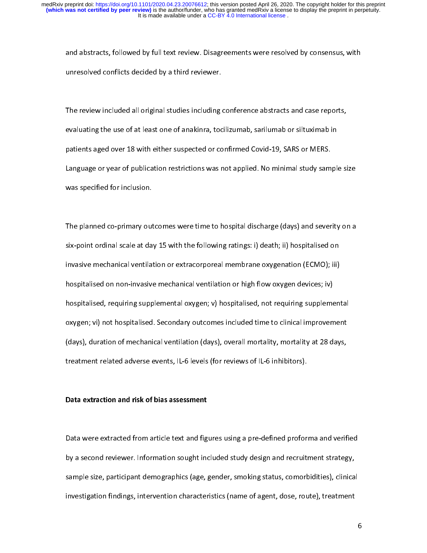and absolved conflicts decided by a third reviewer.<br>Unresolved conflicts decided by a third reviewer.<br>The review included all original studies including conference abstracts and case reports,

unresolved conflicts decided by a third reviewer.<br>The review included all original studies including conference abstracts and case reports,<br>evaluating the use of at least one of anakinra, tocilizumab, sarilumab or siltuxim  $\begin{array}{c} \mathbf{1} \\ \mathbf{1} \\ \mathbf{2} \end{array}$ The review included all original studies including studies including the use reports,<br>evaluating the use of at least one of anakinra, tocilizumab, sarilumab or siltuximab in<br>patients aged over 18 with either suspected or c patients aged over 18 with either suspected or confirmed Covid-19, SARS or MERS.<br>Language or year of publication restrictions was not applied. No minimal study sample<br>was specified for inclusion. Language or year of publication restrictions was not applied. No minimal study sam<br>was specified for inclusion. Language or year of publication restrictions was specified for inclusion.<br>Was specified for inclusion.<br>The planned co-primary outcomes were time to hospital discharge (days) and severity on a

The planned co-primary out<br>six-point ordinal scale at da  $\frac{1}{1}$ The planned co-primary outcomes were time to hospital interactings (anys) and severity on a<br>six-point ordinal scale at day 15 with the following ratings: i) death; ii) hospitalised on<br>invasive mechanical ventilation or ext six-point ordinal scale at day 15 with the following ratings: i) death; ii) hospitalised on<br>invasive mechanical ventilation or extracorporeal membrane oxygenation (ECMO); iii)<br>hospitalised on non-invasive mechanical ventil invasive mechanical ventilation or extracorporeal membrane oxygenation (ECMO); iii)<br>hospitalised on non-invasive mechanical ventilation or high flow oxygen devices; iv)<br>hospitalised, requiring supplemental oxygen; v) hospi hospitalised, requiring supplemental oxygen; v) hospitalised, not requiring suppleme<br>oxygen; vi) not hospitalised. Secondary outcomes included time to clinical improvem<br>(days), duration of mechanical ventilation (days), ov hospitalised, Secondary outcomes included time to clinical improvement<br>(days), duration of mechanical ventilation (days), overall mortality, mortality at 28 days,<br>treatment related adverse events, IL-6 levels (for reviews oxygen; vi, no thospitalised. Secondary outcomes included time to cancel improvement<br>(days), duration of mechanical ventilation (days), overall mortality, mortality at 28 days,<br>treatment related adverse events, IL-6 levels (day), the metallied adverse events, IL-6 levels (for reviews of IL-6 inhibitors), order meatment related adverse events, IL-6 levels (for reviews of IL-6 inhibitors),  $\overline{a}$ 

# treatment related and related and related as a sessment relation and risk of bias assessment.<br>The contraction and risk of bias assessment<br>. Data extraction and risk of bias assessment

ו<br>ו |<br>|<br>|<br>| Data were extracted from article text and figures using a pre-defined proforma and verified<br>by a second reviewer. Information sought included study design and recruitment strategy,<br>sample size, participant demographics (ag by a sample size, participant demographics (age, gender, smoking status, comorbidities), clinica<br>investigation findings, intervention characteristics (name of agent, dose, route), treatment<br>investigation findings, interven sample size, paralyzame demographics (age, gender, smoking status, comorbidities), comorbidities<br>investigation findings, intervention characteristics (name of agent, dose, route), treatment investigation findings, intervention characteristics (name of agent, dose, route), treatment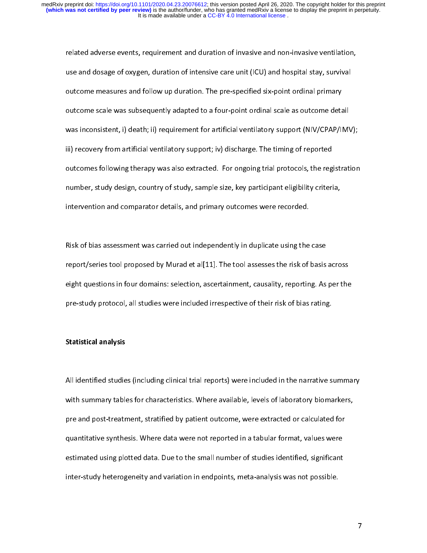related and dosage of oxygen, duration of intensive care unit (ICU) and hospital stay, survival<br>outcome measures and follow up duration. The pre-specified six-point ordinal primary<br>outcome scale was subsequently adapted to use and dosage of oxygen, duration of unitarity can earn (ICU) and hospital stay, survival<br>outcome measures and follow up duration. The pre-specified six-point ordinal primary<br>outcome scale was subsequently adapted to a fo outcome scale was subsequently adapted to a four-point ordinal scale as outcome deta<br>was inconsistent, i) death; ii) requirement for artificial ventilatory support (NIV/CPAP/II<br>iii) recovery from artificial ventilatory sup outcome scale was subsequently adapted to a four-point ordinal scale as outcome as two<br>subsetspue was inconsistent, i) death; ii) requirement for artificial ventilatory support (NIV/CPAP/IM)<br>iii) recovery from artificial v iii) recovery from artificial ventilatory support; iv) discharge. The timing of reported<br>outcomes following therapy was also extracted. For ongoing trial protocols, the registration<br>number, study design, country of study, ing the simulation are interesting to the simulation outcomes following therapy was also extracted. For ongoing trial protocols, the reg<br>number, study design, country of study, sample size, key participant eligibility crit number, study design, country of study, sample size, key participant eligibility criteria,<br>intervention and comparator details, and primary outcomes were recorded. ntervention and comparator details, and primary outcomes were recorded.<br>Risk of bias assessment was carried out independently in duplicate using the case intervention and comparator details, and primary outcomes were recorded.<br>Risk of bias assessment was carried out independently in duplicate using the case

report/series tool proposed by Murad et al[11]. The tool assesses the risk of basis across<br>eight questions in four domains: selection, ascertainment, causality, reporting. As per the<br>pre-study protocol, all studies were in eight questions in four domains: selection, ascertainment, causality, reporting. As per the effective of their risk of bias rating.<br>
Statistical analysis<br>
Statistical analysis presstudy protocol, all study protocol, all study protocol, and bias rating. It is the included in the included in<br>Statistical analysis

### Statistical analysis

 $\ddot{\phantom{0}}$ All including traditions (including clinical trial reports) were character in the narrative summary<br>with summary tables for characteristics. Where available, levels of laboratory biomarkers,<br>pre and post-treatment, stratif pre and post-treatment, stratified by patient outcome, were extracted or calculated for<br>quantitative synthesis. Where data were not reported in a tabular format, values were<br>estimated using plotted data. Due to the small n pre and postes and postes. Where data were not reported in a tabular format, values were<br>estimated using plotted data. Due to the small number of studies identified, significant<br>inter-study heterogeneity and variation in e estimated using plotted data. Due to the small number of studies identified, significant<br>inter-study heterogeneity and variation in endpoints, meta-analysis was not possible. estimate using plotted and variation in endpoints, meta-analysis was not possible.<br>Inter-study heterogeneity and variation in endpoints, meta-analysis was not possible. inter-study heterogeneity and variation in endpoints, meta-analysis was not possible.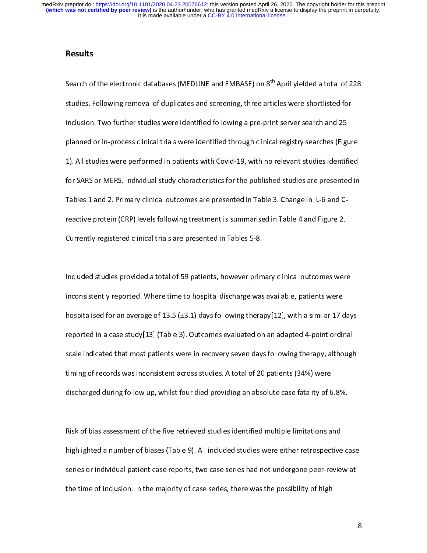It is made available under a CC-BY 4.0 International license. **(which was not certified by peer review)** is the author/funder, who has granted medRxiv a license to display the preprint in perpetuity. medRxiv preprint doi: [https://doi.org/10.1101/2020.04.23.20076612;](https://doi.org/10.1101/2020.04.23.20076612) this version posted April 26, 2020. The copyright holder for this preprint

## Results

י<br>ני<br>ו Search of the electronic databases (MEDLINE and EMBASE) on 8 April yielded a total of 228<br>studies. Following removal of duplicates and screening, three articles were shortlisted for<br>inclusion. Two further studies were iden inclusion. Two further studies were identified following a pre-print server search and 25<br>planned or in-process clinical trials were identified through clinical registry searches (Figur<br>1). All studies were performed in pa included or in-process clinical trials were identified through clinical registry searches (Figure ).<br>1). All studies were performed in patients with Covid-19, with no relevant studies identif<br>for SARS or MERS. Individual s planned or in-process clinical trials were the clinical trials weight clinical registry searches (Figure<br>1). All studies were performed in patients with Covid-19, with no relevant studies identified<br>for SARS or MERS. Indiv 1). All studies or MERS. Individual study characteristics for the published studies are presented in<br>1). Tables 1 and 2. Primary clinical outcomes are presented in Table 3. Change in IL-6 and C-<br>1). Treactive protein (CRP) Tables 1 and 2. Primary clinical outcomes are presented in Table 3. Change in IL-6 and C-<br>reactive protein (CRP) levels following treatment is summarised in Table 4 and Figure 2.<br>Currently registered clinical trials are pr reactive proteins of the Currently registered clinical trials are presented in Tables 5-8.<br>Included studies provided a total of 59 patients, however primary clinical outcomes were

Currently registered clinical trials are presented in Tables 5-8.<br>Included studies provided a total of 59 patients, however prim<br>inconsistently reported. Where time to hospital discharge was Inconsistently reported. Where time to hospital discharge was available, patients were<br>hospitalised for an average of 13.5 (±3.1) days following therapy[12], with a similar 17 day<br>reported in a case study[13] (Table 3). Ou inconspitalised for an average of 13.5 (±3.1) days following therapy[12], with a similar 17 or reported in a case study[13] (Table 3). Outcomes evaluated on an adapted 4-point ordin<br>scale indicated that most patients were reported in a case study[13] (Table 3). Outcomes evaluated on an adapted 4-point ordinal<br>scale indicated that most patients were in recovery seven days following therapy, although<br>timing of records was inconsistent across scale indicated that most patients were in recovery seven days following therapy, althought<br>timing of records was inconsistent across studies. A total of 20 patients (34%) were<br>discharged during follow up, whilst four died timing of records was inconsistent across studies. A total of 20 patients (34%) were<br>discharged during follow up, whilst four died providing an absolute case fatality of 6.8%. discharged during follow up, whilst four died providing an absolute case fatality of 6<br>Risk of bias assessment of the five retrieved studies identified multiple limitations a

discharged during follow up, while then the providing an absolute case factor.<br>Risk of bias assessment of the five retrieved studies identified multiple limitations and<br>highlighted a number of biases (Table 9). All include |<br>|<br>|<br>| highlighted a number of biases (Table 9). All included studies were either retrospective<br>series or individual patient case reports, two case series had not undergone peer-revie<br>the time of inclusion. In the majority of cas https://www.casestart.com/<br>highlighted a number of individual patient case reports, two case series had not undergone peer-review at<br>the time of inclusion. In the majority of case series, there was the possibility of high<br> series of inclusion. In the majority of case series, there was the possibility of high<br>the time of inclusion. In the majority of case series, there was the possibility of high the time of inclusion. In the majority of case series, the majority of  $\mathbb{R}^n$  of  $\mathbb{R}^n$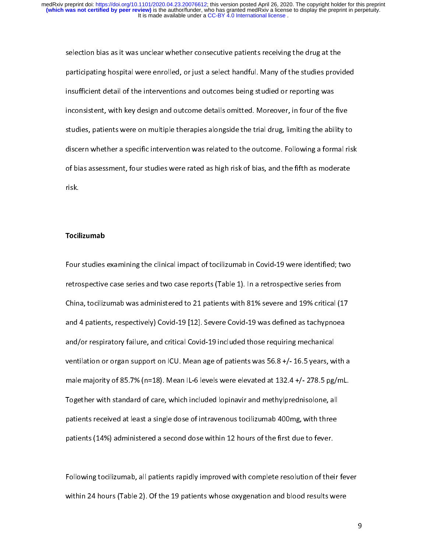participating hospital were enrolled, or just a select handful. Many of the studies provides insufficient detail of the interventions and outcomes being studied or reporting was inconsistent, with key design and outcome de insufficient detail of the interventions and outcomes being studied or reporting was<br>inconsistent, with key design and outcome details omitted. Moreover, in four of the five<br>studies, patients were on multiple therapies alo inconsistent, with key design and outcome details omitted. Moreover, in four of the<br>studies, patients were on multiple therapies alongside the trial drug, limiting the abil<br>discern whether a specific intervention was relat inconsistent, with the first and outcome details children to the trial drug, limiting the ability to<br>studies, patients were on multiple therapies alongside the trial drug, limiting the ability to<br>discern whether a specific studies on whether a specific intervention was related to the outcome. Following a formal risl<br>of bias assessment, four studies were rated as high risk of bias, and the fifth as moderate<br>risk. discern whence a specific intervention was related to the outcome. For the massive conditions<br>of bias assessment, four studies were rated as high risk of bias, and the fifth as moderate<br>risk. of bias assessment, four studies were rated as high risk of bias, and the fifth as moderated as  $\Gamma$ isk of bias, and the fifth as models as moderated as  $\Gamma$  is and the fifth as models as moderated as  $\Gamma$  is and the fifth

# Tocil<br>. Tocilizumab

 $\begin{bmatrix} 1 & 1 \\ 1 & 1 \\ 1 & 1 \end{bmatrix}$ |<br>|<br>|<br>| retrospective case series and two case reports (Table 1). In a retrospective series from<br>China, tocilizumab was administered to 21 patients with 81% severe and 19% critical (17<br>and 4 patients, respectively) Covid-19 [12]. China, tocilizumab was administered to 21 patients with 81% severe and 19% critical (1).<br>and 4 patients, respectively) Covid-19 [12]. Severe Covid-19 was defined as tachypnoea<br>and/or respiratory failure, and critical Covid and 4 patients, respectively) Covid-19 [12]. Severe Covid-19 was defined as tachypnoea<br>and/or respiratory failure, and critical Covid-19 included those requiring mechanical<br>ventilation or organ support on ICU. Mean age of and/or respiratory failure, and critical Covid-19 included those requiring mechanical<br>ventilation or organ support on ICU. Mean age of patients was 56.8 +/- 16.5 years, with<br>male majority of 85.7% (n=18). Mean IL-6 levels andled to respirators of the test of patients was 56.8 +/- 16.5 years, when the majority of 85.7% (n=18). Mean IL-6 levels were elevated at 132.4 +/- 278.5 pg, Together with standard of care, which included lopinavir and m male majority of 85.7% (n=18). Mean IL-6 levels were elevated at 132.4 +/- 278.5 pg/mL.<br>Together with standard of care, which included lopinavir and methylprednisolone, all<br>patients received at least a single dose of intr male majority of 85.7% (n=19). Mean IL-6 levels were elevated at 121.4 + 21.5 pg/mL.<br>Together with standard of care, which included lopinavir and methylprednisolone, all<br>patients received at least a single dose of intraven patients received at least a single dose of intravenous tocilizumab 400mg, with three<br>patients (14%) administered a second dose within 12 hours of the first due to fever. patients (14%) administered a second dose within 12 hours of the first due to fever.<br>Following tocilizumab, all patients rapidly improved with complete resolution of their

patients (14%)<br>Following tocilizumab, all patients rapidly improved with complete resolution of thei<br>within 24 hours (Table 2). Of the 19 patients whose oxygenation and blood results w |<br>|<br>| Following to chical and your patients replacy, improved with complete resolution of the results.<br>Within 24 hours (Table 2). Of the 19 patients whose oxygenation and blood results were with 24 hours (Table 2). Of the 19 patients whose oxygenation and blood results whose oxygenation and blood re<br>The 19 patients were used to 19 patients whose oxygenation and blood results were used to 19 patients were use<br>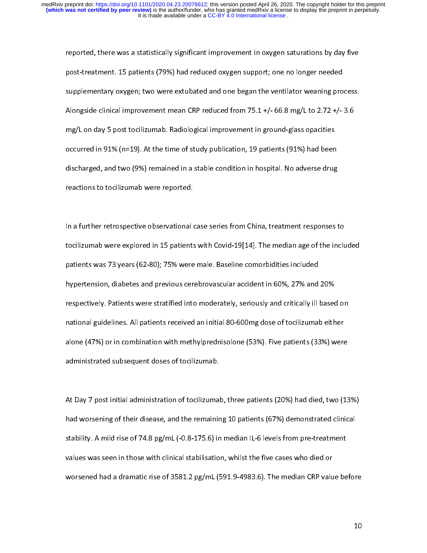reported, there we a statistically significant improvement in original and post-treatment in original post-treatment. 15 patients (79%) had reduced oxygen support; one no longer needed<br>supplementary oxygen; two were extuba post-treatmentary oxygen; two were extubated and one began the ventilator weaning pro<br>Alongside clinical improvement mean CRP reduced from 75.1 +/- 66.8 mg/L to 2.72 +/-<br>mg/L on day 5 post tocilizumab. Radiological improve suppentation, engancy to the extrementary and one began the ventilator meaning process.<br>Alongside clinical improvement mean CRP reduced from 75.1 +/- 66.8 mg/L to 2.72 +/- 3.6<br>mg/L on day 5 post tocilizumab. Radiological i Alongside clinical improvement and clinical improvement in ground-glass opacities<br>occurred in 91% (n=19). At the time of study publication, 19 patients (91%) had been<br>discharged, and two (9%) remained in a stable condition mg/L on day 5 post tocilizumab. Radiological improvement in ground-glass opacities<br>occurred in 91% (n=19). At the time of study publication, 19 patients (91%) had been<br>discharged, and two (9%) remained in a stable conditio discharged, and two (9%) remained in a stable condition in hospital. No adverse drug<br>reactions to tocilizumab were reported.<br>In a further retrospective observational case series from China, treatment responses to discharged, and two (9%) remains and a state condition in hospital. No adverse angularizations to tocilizumab were reported.<br>In a further retrospective observational case series from China, treatment responses t

In a further retrospective observational<br>tocilizumab were explored in 15 patients l<br>f In a further retrospective observational case series from Enna, the median age of the included<br>patients was 73 years (62-80); 75% were male. Baseline comorbidities included<br>hypertension, diabetes and previous cerebrovascul patients was 73 years (62-80); 75% were male. Baseline comorbidities included<br>hypertension, diabetes and previous cerebrovascular accident in 60%, 27% and 20%<br>respectively. Patients were stratified into moderately, serious patients was 73 years (62-80); 75% were male. Baseline comorbidities included<br>hypertension, diabetes and previous cerebrovascular accident in 60%, 27% and 20%<br>respectively. Patients were stratified into moderately, serious respectively. Patients were stratified into moderately, seriously and critically ill based on<br>national guidelines. All patients received an initial 80-600mg dose of tocilizumab either<br>alone (47%) or in combination with met respectively.<br>
Inational guidelines. All patients received an initial 80-600mg dose of tocilizumab either<br>
alone (47%) or in combination with methylprednisolone (53%). Five patients (33%) were<br>
administrated subsequent dos national guidelines. All patients received an initial 80-600 mg access received annual 80-600<br>alone (47%) or in combination with methylprednisolone (53%). Five patients (33%) were<br>administrated subsequent doses of tocilizu administrated subsequent doses of tocilizumab.<br>At Day 7 post initial administration of tocilizumab, three patients (20%) had died, two (13

At Day 7 post initial administration of tocilizumal.<br>had worsening of their disease, and the remainir  $\frac{1}{3}$ had worsening of their disease, and the remaining 10 patients (67%) demonstrated clinical<br>stability. A mild rise of 74.8 pg/mL (-0.8-175.6) in median IL-6 levels from pre-treatment<br>values was seen in those with clinical st stability. A mild rise of 74.8 pg/mL (-0.8-175.6) in median IL-6 levels from pre-treatment<br>values was seen in those with clinical stabilisation, whilst the five cases who died or<br>worsened had a dramatic rise of 3581.2 pg/m values was seen in those with clinical stabilisation, whilst the five cases who died or<br>worsened had a dramatic rise of 3581.2 pg/mL (591.9-4983.6). The median CRP value be<br>worsened had a dramatic rise of 3581.2 pg/mL (591 worsened had a dramatic rise of 3581.2 pg/mL (591.9-4983.6). The median CRP valu<br>worsened had a dramatic rise of 3581.2 pg/mL (591.9-4983.6). The median CRP valu words had a dramatic rise of 3581.2 pg/mL (591.9-4983.6). The median CRP value before  $\frac{1}{2}$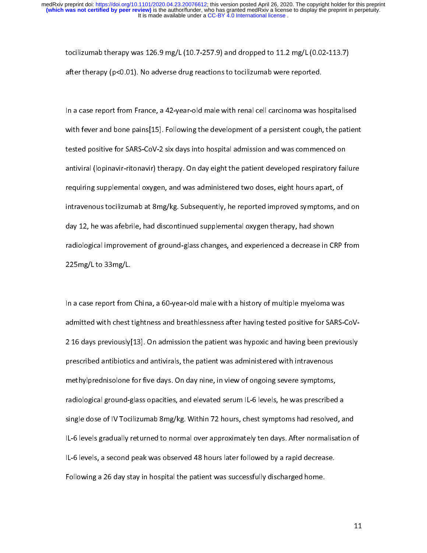to character therapy (p<0.01). No adverse drug reactions to tocilizumab were reported.<br>There therapy (p<0.01). No adverse drug reactions to tocilizumab were reported.<br>In a case report from France, a 42-year-old male with r after therapy (persuaja rate and and substitute to to animate there reported.<br>In a case report from France, a 42-year-old male with renal cell carcinoma was ho<br>with fever and bone pains[15]. Following the development of a  $\frac{1}{t}$ In a case repear in a transmising year of the interest care care in an anti-order response.<br>In a case with fever and bone pains[15]. Following the development of a persistent cough, the patien<br>tested positive for SARS-CoVtested positive for SARS-CoV-2 six days into hospital admission and was commenced on<br>antiviral (lopinavir-ritonavir) therapy. On day eight the patient developed respiratory failure<br>requiring supplemental oxygen, and was ad antiviral (lopinavir-ritonavir) therapy. On day eight the patient developed respiratory fair<br>requiring supplemental oxygen, and was administered two doses, eight hours apart, of<br>intravenous tocilizumab at 8mg/kg. Subsequen antiviral (expiration virtuation) survey yields and patient developed respiratory failure<br>requiring supplemental oxygen, and was administered two doses, eight hours apart, of<br>intravenous tocilizumab at 8mg/kg. Subsequently intravenous tocilizumab at 8mg/kg. Subsequently, he reported improved symptoms, and ay 12, he was afebrile, had discontinued supplemental oxygen therapy, had shown radiological improvement of ground-glass changes, and expe intravenous to minimum at 8mg/kg. Subsequently, he reported improved in providing that 8m<br>day 12, he was afebrile, had discontinued supplemental oxygen therapy, had shown<br>radiological improvement of ground-glass changes, a radiological improvement of ground-glass changes, and experienced a decrease in CF<br>225mg/L to 33mg/L. radiological improvement of ground-glass changes, and experienced a decrease in CRP<br>225mg/L to 33mg/L.<br>In a case report from China, a 60-year-old male with a history of multiple myeloma was

225mg/L to 33mg/L.<br>In a case report from China, a 60-year-old male with a history of multiple myeloma was<br>admitted with chest tightness and breathlessness after having tested positive for SARS-CoV- $\frac{1}{2}$ 2 16 days previously[13]. On admission the patient was hypoxic and having been previously<br>prescribed antibiotics and antivirals, the patient was administered with intravenous prescribed antibiotics and antivirals, the patient was administered with intravenous<br>methylprednisolone for five days. On day nine, in view of ongoing severe symptoms,<br>radiological ground-glass opacities, and elevated seru methylprednisolone for five days. On day nine, in view of ongoing severe symptoms,<br>radiological ground-glass opacities, and elevated serum IL-6 levels, he was prescribed a<br>single dose of IV Tocilizumab 8mg/kg. Within 72 ho methylpredite the three days. On day, interpretent to ongoing severe symptoms,<br>radiological ground-glass opacities, and elevated serum IL-6 levels, he was prescribed<br>single dose of IV Tocilizumab 8mg/kg. Within 72 hours, c single dose of IV Tocilizumab 8mg/kg. Within 72 hours, chest symptoms had resolved, and<br>IL-6 levels gradually returned to normal over approximately ten days. After normalisation c<br>IL-6 levels, a second peak was observed 48 single of IV Toron of the Mays. After normalisation of IL-6 levels gradually returned to normal over approximately ten days. After normalisation of<br>IL-6 levels, a second peak was observed 48 hours later followed by a rapid IL-6 levels, a second peak was observed 48 hours later followed by a rapid decrease.<br>Following a 26 day stay in hospital the patient was successfully discharged home. Following a 26 day stay in hospital the patient was successfully discharged home.<br>Following a 26 day stay in hospital the patient was successfully discharged home. Following a 26 day stay in hospital the patient was successfully discharged home.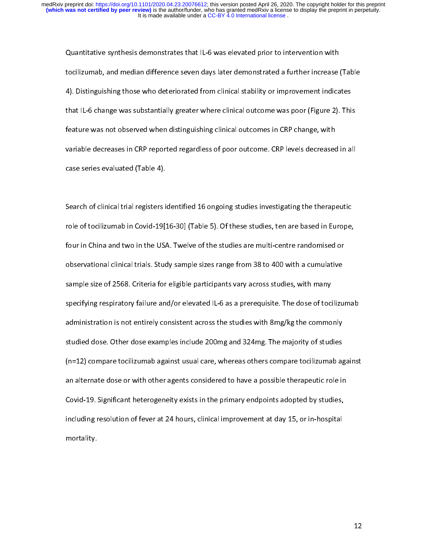Louisian symmetry administrative that IL-1 was elevated prior to intervention with<br>tocilizumab, and median difference seven days later demonstrated a further increase<br>4). Distinguishing those who deteriorated from clinical to and median difference seven days later demonstrated a function interest (Table<br>4). Distinguishing those who deteriorated from clinical stability or improvement indicates<br>that IL-6 change was substantially greater where 4). Distinguishing these three statistics where clinical outcome was poor (Figure 2). This<br>that IL-6 change was substantially greater where clinical outcome was poor (Figure 2). This<br>feature was not observed when distingui that IL-6 change was rate canceled when distinguishing clinical outcomes in CRP change, with<br>feature was not observed when distinguishing clinical outcomes in CRP change, with<br>variable decreases in CRP reported regardless feature wariable decreases in CRP reported regardless of poor outcome. CRP levels decreased<br>case series evaluated (Table 4). variable decreases in CRP reported regardless of poor outcome. CRP resolutions in the decrease of case series evaluated (Table 4).<br>Search of clinical trial registers identified 16 ongoing studies investigating the therapeu

case series examples (Table 4).<br>Search of clinical trial registers is<br>role of tocilizumab in Covid-19[1 ؟<br>f Franch of tocilizumab in Covid-19[16-30] (Table 5). Of these studies, ten are based in Europe,<br>four in China and two in the USA. Twelve of the studies are multi-centre randomised or<br>observational clinical trials. Study sam role of tocalizations in Covid-19[16-30] (Table 5). Of the studies are multi-centre randomised or<br>observational clinical trials. Study sample sizes range from 38 to 400 with a cumulative<br>sample size of 2568. Criteria for e four in China and the studies of the studies are multi-centre considerations observational clinical trials. Study sample sizes range from 38 to 400 with a cumulative sample size of 2568. Criteria for eligible participants sample size of 2568. Criteria for eligible participants vary across studies, with many<br>specifying respiratory failure and/or elevated IL-6 as a prerequisite. The dose of tocilizu<br>administration is not entirely consistent a specifying respiratory failure and/or elevated IL-6 as a prerequisite. The dose of toci<br>administration is not entirely consistent across the studies with 8mg/kg the commo<br>studied dose. Other dose examples include 200mg and specifies respiration is not entirely consistent across the studies with 8mg/kg the commonly<br>studied dose. Other dose examples include 200mg and 324mg. The majority of studies<br>(n=12) compare tocilizumab against usual care, administration is not entirely consistent across the stands that enging the commonly<br>studied dose. Other dose examples include 200mg and 324mg. The majority of studies<br>(n=12) compare tocilizumab against usual care, whereas (n=12) compare tocilizumab against usual care, whereas others compare tocilizumab against<br>an alternate dose or with other agents considered to have a possible therapeutic role in (n) an alternate dose or with other agents considered to have a possible therapeutic role in<br>Covid-19. Significant heterogeneity exists in the primary endpoints adopted by studies,<br>including resolution of fever at 24 hours Covid-19. Significant heterogeneity exists in the primary endpoints adopted by studies,<br>including resolution of fever at 24 hours, clinical improvement at day 15, or in-hospital<br>mortality. including resolution of fever at 24 hours, clinical improvement at day 15, or in-hospital  $\frac{1}{2}$  including resolution of  $\frac{1}{2}$  including resolution of  $\frac{1}{2}$ , or in-hospital improvement at day 15, or in-hospital improvement at day 15, or in-hospital improvement at day 15, or in-hospital in-hospital i mortality.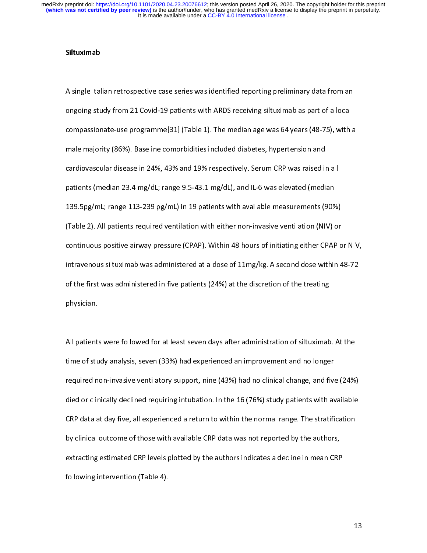#### Siltuximab

A single Italian retrospective case series was task materic reporting preliminary and the anti-<br>
ongoing study from 21 Covid-19 patients with ARDS receiving siltuximab as part of a local<br>
compassionate-use programme[31] (T compassionate-use programme[31] (Table 1). The median age was 64 years (48-75), with<br>male majority (86%). Baseline comorbidities included diabetes, hypertension and<br>cardiovascular disease in 24%, 43% and 19% respectively. male majority (86%). Baseline comorbidities included diabetes, hypertension and<br>cardiovascular disease in 24%, 43% and 19% respectively. Serum CRP was raised in all<br>patients (median 23.4 mg/dL; range 9.5-43.1 mg/dL), and I male majority (86%). Baseline comorbidities included materials included and computed and<br>cardiovascular disease in 24%, 43% and 19% respectively. Serum CRP was raised in<br>patients (median 23.4 mg/dL; range 9.5-43.1 mg/dL), patients (median 23.4 mg/dL; range 9.5-43.1 mg/dL), and IL-6 was elevated (median<br>139.5pg/mL; range 113-239 pg/mL) in 19 patients with available measurements (90%)<br>(Table 2). All patients required ventilation with either n patients (median 23.4 mg/dl) in 19 patients with available measurements (90%)<br>(Table 2). All patients required ventilation with either non-invasive ventilation (NIV) or<br>continuous positive airway pressure (CPAP). Within 4 (Table 2). All patients required ventilation with either non-invasive ventilation (NIV) or<br>continuous positive airway pressure (CPAP). Within 48 hours of initiating either CPAP of<br>intravenous siltuximab was administered a (Table 2). All patients required ventilation with either non-invasive ventilation (NIV) or<br>continuous positive airway pressure (CPAP). Within 48 hours of initiating either CPAP of<br>intravenous siltuximab was administered at continuous positive aircher pressure (CPAP). Within 48 hours of initiating either CPAP)<br>intravenous siltuximab was administered at a dose of 11mg/kg. A second dose within 48-72<br>of the first was administered in five patient of the first was administered in five patients (24%) at the discretion of the treating<br>physician.<br> $\frac{1}{2}$ of the first was administered in the first was administered in five patients wave followed for at least seven days after administration of siltuximable patients were followed for at least seven days after administration of

physical<br>All patient:<br>time of stu  $\frac{1}{1}$ time of study analysis, seven (33%) had experienced an improvement and no longer<br>required non-invasive ventilatory support, nine (43%) had no clinical change, and five (24%<br>died or clinically declined requiring intubation. the continues of the study and tive study and the required non-invasive ventilatory support, nine (43%) had no clinical change, and five<br>died or clinically declined requiring intubation. In the 16 (76%) study patients with died or clinically declined requiring intubation. In the 16 (76%) study patients with available<br>CRP data at day five, all experienced a return to within the normal range. The stratification<br>by clinical outcome of those wit CRP data at day five, all experienced a return to within the normal range. The stratification<br>by clinical outcome of those with available CRP data was not reported by the authors,<br>extracting estimated CRP levels plotted by by clinical outcome of those with available CRP data was not reported by the authors,<br>extracting estimated CRP levels plotted by the authors indicates a decline in mean CRP<br>following intervention (Table 4). extracting estimated CRP levels plotted by the authors indicates a decline in mean CRP following intervention (Table 4). following intervention (Table 4).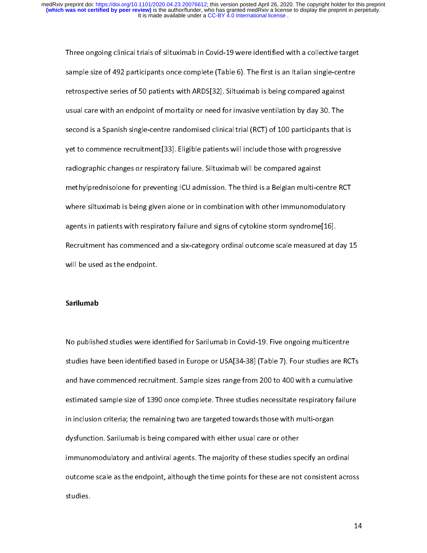Three ongoing clinical trials in terms of the silect trials in a contract trigon<br>sample size of 492 participants once complete (Table 6). The first is an Italian single-centre<br>retrospective series of 50 patients with ARDS[ sample size of 492 participants once complete (Table 4). The first is an Islamic engine<br>retrospective series of 50 patients with ARDS[32]. Siltuximab is being compared against<br>usual care with an endpoint of mortality or ne retrop can be tracted the separation in the series of 52 patients with an endpoint of mortality or need for invasive ventilation by day 30. The second is a Spanish single-centre randomised clinical trial (RCT) of 100 parti usual care with an emperice transmitting or mortality or mortality commutation, and yet second is a Spanish single-centre randomised clinical trial (RCT) of 100 participants that yet to commence recruitment[33]. Eligible p sect to commence recruitment[33]. Eligible patients will include those with progressive<br>radiographic changes or respiratory failure. Siltuximab will be compared against<br>methylprednisolone for preventing ICU admission. The radiographic changes or respiratory failure. Siltuximab will be compared against<br>methylprednisolone for preventing ICU admission. The third is a Belgian multi-centre R<br>where siltuximab is being given alone or in combinatio radiographic changes or respiratory failure changement change or regainst<br>methylprednisolone for preventing ICU admission. The third is a Belgian multi-ce<br>where siltuximab is being given alone or in combination with other where siltuximab is being given alone or in combination with other immunomodulatory<br>agents in patients with respiratory failure and signs of cytokine storm syndrome[16].<br>Recruitment has commenced and a six-category ordinal where simulation is being given alone or in combination with other immunomodulatory,<br>agents in patients with respiratory failure and signs of cytokine storm syndrome[16].<br>Recruitment has commenced and a six-category ordina agents in patients with respiratory failure and registers cytokine storm syndrome<sub>[16]</sub>.<br>Recruitment has commenced and a six-category ordinal outcome scale measured at c<br>will be used as the endpoint. Recruitment has commenced and a six-category ordinal outcome scale measured at  $\alpha$ , is<br>will be used as the endpoint.<br>Sarilumab

# will be used as the end of the end of the end of the end of the end of the end of the end of the end of the end<br>. The endpoint of the end of the end of the end of the end of the end of the end of the end of the end of the<br> Sarilumab

No published studies were identified for Sarilumab in Covid-19. Five ongoing multicentre<br>studies have been identified based in Europe or USA[34-38] (Table 7). Four studies are RCTs<br>and have commenced recruitment. Sample si and have commenced recruitment. Sample sizes range from 200 to 400 with a cumulative<br>estimated sample size of 1390 once complete. Three studies necessitate respiratory failure<br>in inclusion criteria; the remaining two are t and have commenced recruitment. Sample size range from 200 to 400 mm a cumulative<br>estimated sample size of 1390 once complete. Three studies necessitate respiratory failure<br>in inclusion criteria; the remaining two are targ in inclusion criteria; the remaining two are targeted towards those with multi-organ<br>dysfunction. Sarilumab is being compared with either usual care or other<br>immunomodulatory and antiviral agents. The majority of these stu dysfunction. Sarilumab is being compared with either usual care or other<br>immunomodulatory and antiviral agents. The majority of these studies specify an ord<br>outcome scale as the endpoint, although the time points for these immunomodulatory and antiviral agents. The majority of these studies sp<br>outcome scale as the endpoint, although the time points for these are not<br>studies. outcome scale as the endpoint, although the time points for these are not consistent acro<br>studies specify and the majority and only a specify and one studies specify and only and the majority and studies specify and the ma outcome scale as the endpoint, although the time points for the time consistent across<br>studies.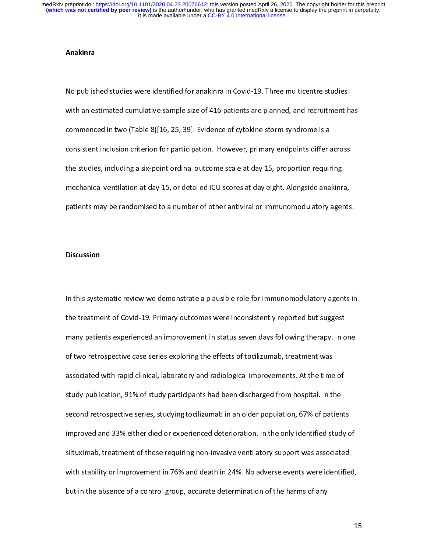#### Anakinra

No published studies were included to an analyze the structure multicentre studies<br>with an estimated cumulative sample size of 416 patients are planned, and recruitment h<br>commenced in two (Table 8)[16, 25, 39]. Evidence of commenced in two (Table 8)[16, 25, 39]. Evidence of cytokine storm syndrome is a<br>consistent inclusion criterion for participation. However, primary endpoints differ across<br>the studies, including a six-point ordinal outcome consistent inclusion criterion for participation. However, primary endpoints differ a<br>the studies, including a six-point ordinal outcome scale at day 15, proportion requir<br>mechanical ventilation at day 15, or detailed ICU consistent including a six-point ordinal outcome scale at day 15, proportion requiring<br>the studies, including a six-point ordinal outcome scale at day 15, proportion requiring<br>mechanical ventilation at day 15, or detailed the studies, including a six-point ordinal outcome scale at day  $=$  proportion requiring<br>mechanical ventilation at day 15, or detailed ICU scores at day eight. Alongside anakinr<br>patients may be randomised to a number of ot patients may be randomised to a number of other antiviral or immunomodulatory agents<br>Discussion patients may be randomized to a number of other antiviral or immunomodulatory agents.<br>Discussion

### **Discussion**

In the treatment of Covid-19. Primary outcomes were inconsistently reported but suggest<br>
many patients experienced an improvement in status seven days following therapy. In one<br>
of two retrospective case series exploring t the treatment of Covid-2011 many patients and the treatment of the percentation angular many patients experienced an improvement in status seven days following therapy. In o<br>of two retrospective case series exploring the e many parameter, experienced an improvement in status severality severaling instepy. In status<br>of two retrospective case series exploring the effects of tocilizumab, treatment was<br>associated with rapid clinical, laboratory of two retrospective case series exploring the effects of tocilizumab, treatment was<br>associated with rapid clinical, laboratory and radiological improvements. At the time of<br>study publication, 91% of study participants had atudy publication, 91% of study participants had been discharged from hospital. In the<br>second retrospective series, studying tocilizumab in an older population, 67% of patient<br>improved and 33% either died or experienced de second retrospective series, studying tocilizumab in an older population, 67% of patien<br>improved and 33% either died or experienced deterioration. In the only identified stud<br>siltuximab, treatment of those requiring non-in improved and 33% either died or experienced deterioration. In the only identified study c<br>siltuximab, treatment of those requiring non-invasive ventilatory support was associated<br>with stability or improvement in 76% and de iltuximab, treatment of those requiring non-invasive ventilatory support was associated<br>with stability or improvement in 76% and death in 24%. No adverse events were identified,<br>but in the absence of a control group, accur with stability or improvement in 76% and death in 24%. No adverse events were identified<br>but in the absence of a control group, accurate determination of the harms of any but in the absence of a control group, accurate determination of the harms of any<br>1. but in the absence of a control group, accurate determination of the harms of any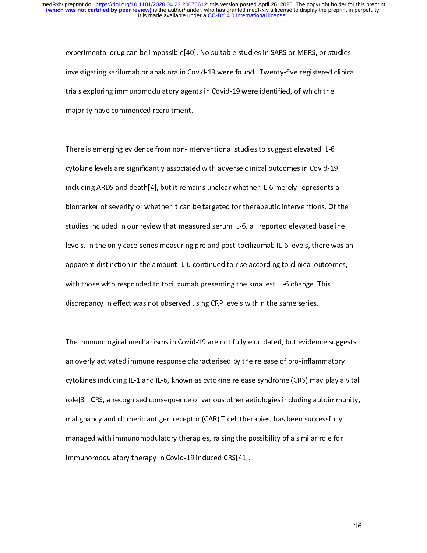experimental and gradual any predict properties in that the state studies, or suitable<br>investigating sarilumab or anakinra in Covid-19 were found. Twenty-five registered clinica<br>trials exploring immunomodulatory agents in in Engancy samilimate or analyze to the EP were register register to minimize trials exploring immunomodulatory agents in Covid-19 were identified, of which the majority have commenced recruitment. trials expering immunications explore in Covid-19 were communically and the communications of which the majority have commenced recruitment.<br>There is emerging evidence from non-interventional studies to suggest elevated IL

mageing mark commenced recruitment.<br>There is emerging evidence from non-int<br>cytokine levels are significantly associate  $\frac{1}{1}$ There is emerging evidence from non-interventional studies to suggest exception is c<br>cytokine levels are significantly associated with adverse clinical outcomes in Covid-19<br>including ARDS and death[4], but it remains uncle cytokine levels are significantly associated with adverse clinical extended in Covid-1<br>including ARDS and death[4], but it remains unclear whether IL-6 merely represents a<br>biomarker of severity or whether it can be targete biomarker of severity or whether it can be targeted for therapeutic interventions. Of the<br>studies included in our review that measured serum IL-6, all reported elevated baseline<br>levels. In the only case series measuring pr biomarker of severity or whether transies angoverno interpendent content of the<br>studies included in our review that measured serum IL-6, all reported elevated baseline<br>levels. In the only case series measuring pre and post stance included in our review that measured elements of all reported elevation the amound levels.<br>In the only case series measuring pre and post-tocilizumab IL-6 levels, there was a<br>apparent distinction in the amount IL-6 apparent distinction in the amount IL-6 continued to rise according to clinical outcomes,<br>with those who responded to tocilizumab presenting the smallest IL-6 change. This<br>discrepancy in effect was not observed using CRP l with those who responded to tocilizumab presenting the smallest IL-6 change. This<br>discrepancy in effect was not observed using CRP levels within the same series.<br>According outcomes, within the same series. discrepancy in effect was not observed using CRP levels within the same series.<br>The immunological mechanisms in Covid-19 are not fully elucidated, but evidence s

discrepancy of the immunological mechanisms in Covid-19 are not fully elucidated, but evident<br>an overly activated immune response characterised by the release of pro-inflam  $\frac{1}{2}$ an overly activated immune response characterised by the release of pro-inflammatory<br>cytokines including IL-1 and IL-6, known as cytokine release syndrome (CRS) may play a vita<br>role[3]. CRS, a recognised consequence of var cytokines including IL-1 and IL-6, known as cytokine release syndrome (CRS) may play a<br>role[3]. CRS, a recognised consequence of various other aetiologies including autoimmu<br>malignancy and chimeric antigen receptor (CAR) T role[3]. CRS, a recognised consequence of various other aetiologies including autoimmunity,<br>malignancy and chimeric antigen receptor (CAR) T cell therapies, has been successfully<br>managed with immunomodulatory therapies, ra roles of the consequence of CAR) T cell therapies, has been successfully<br>managed with immunomodulatory therapies, raising the possibility of a similar role for<br>immunomodulatory therapy in Covid-19 induced CRS[41]. managed with immunomodulatory therapies, raising the possibility of a similar role for<br>immunomodulatory therapy in Covid-19 induced CRS[41]. immunomodulatory therapy in Covid-19 induced CRS[41]. immunomodulatory therapy in Covid-19 induced CRS[41].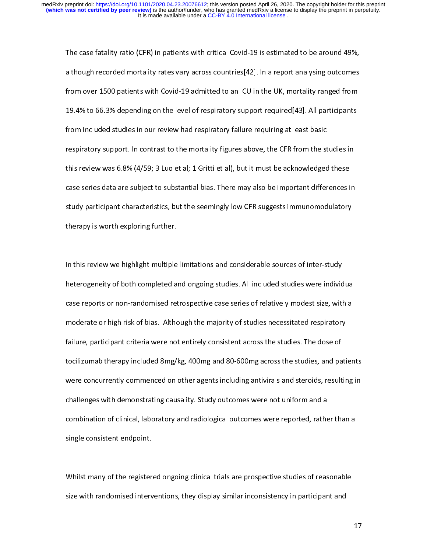The case fatally rate (CFR) in patition from EFRE 2018 at the around 1997)<br>although recorded mortality rates vary across countries[42]. In a report analysing outcomes<br>from over 1500 patients with Covid-19 admitted to an IC although records mortality rates vary across committing report analysing succember<br>from over 1500 patients with Covid-19 admitted to an ICU in the UK, mortality ranged from<br>19.4% to 66.3% depending on the level of respirat from order 1500 patients with Covid-19 admitted to an ICU in the UK, mortality ranged from<br>19.4% to 66.3% depending on the level of respiratory support required[43]. All participants<br>from included studies in our review had 19.1% to 6.44% depending on the level of respiratory support requiring at least basic<br>from included studies in our review had respiratory failure requiring at least basic<br>respiratory support. In contrast to the mortality f from the studies of the mortality figures above, the CFR from the st<br>this review was 6.8% (4/59; 3 Luo et al; 1 Gritti et al), but it must be acknowledged<br>case series data are subject to substantial bias. There may also be respiratory support. In contrast to the mortality figures above, the state in an example in<br>this review was 6.8% (4/59; 3 Luo et al; 1 Gritti et al), but it must be acknowledged these<br>case series data are subject to substa the review was externed the state of the state of aligne terms of all, but it must be almost the second case<br>case series data are subject to substantial bias. There may also be important differences if<br>study participant ch castudy participant characteristics, but the seemingly low CFR suggests immunomodulatory<br>therapy is worth exploring further.<br>Also be interested in the important differences in the important differences in the interest of t study participant characteristics, but the seemingly low CFR suggests immunitations and<br>therapy is worth exploring further.<br>In this review we highlight multiple limitations and considerable sources of inter-study therapy is worth exploring further.<br>In this review we highlight multiple limitations and considerable sources of inter-study

|<br>|<br>| heterogeneity of both completed and ongoing studies. All included studies were individual<br>case reports or non-randomised retrospective case series of relatively modest size, with a<br>moderate or high risk of bias. Although t case reports or non-randomised retrospective case series of relatively modest size, with a<br>moderate or high risk of bias. Although the majority of studies necessitated respiratory<br>failure, participant criteria were not ent case reports or high risk of bias. Although the majority of studies necessitated respiratory<br>failure, participant criteria were not entirely consistent across the studies. The dose of<br>tocilizumab therapy included 8mg/kg, 4 moderate or night risk or himseligh the majority of definition to be plants. The dose of<br>failure, participant criteria were not entirely consistent across the studies. The dose of<br>tocilizumab therapy included 8mg/kg, 400mg facilizumab therapy included 8mg/kg, 400mg and 80-600mg across the studies, and pa<br>were concurrently commenced on other agents including antivirals and steroids, result<br>challenges with demonstrating causality. Study outcom tocilization of the studies of the spents including antivirals and steroids, resulting in<br>challenges with demonstrating causality. Study outcomes were not uniform and a<br>combination of clinical, laboratory and radiological were concurrently commenced on other agents including antivirals and steroids, resulting in<br>challenges with demonstrating causality. Study outcomes were not uniform and a<br>combination of clinical, laboratory and radiologica combination of clinical, laboratory and radiological outcomes were reported, rathe<br>single consistent endpoint.<br> combination of consistent endpoint.<br>
whilst many of the registered ongoing clinical trials are prospective studies of reasonable

single consistent whilst many of the register<br>Size with randomised interv  $\frac{1}{2}$ Size with randomised interventions, they display similar inconsistency in participant and<br>size with randomised interventions, they display similar inconsistency in participant and size with randomised interventions, they display similar inconsistency in participant and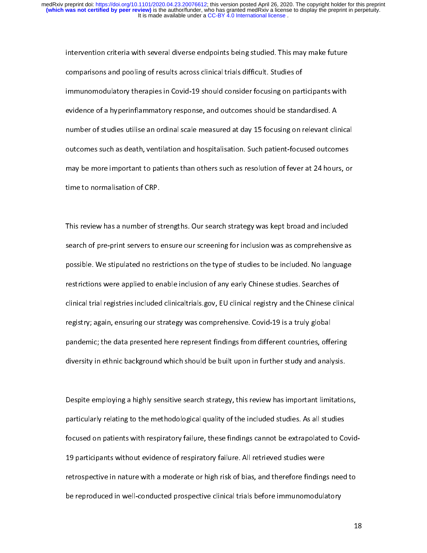comparisons and pooling of results across clinical trials difficult. Studies of<br>immunomodulatory therapies in Covid-19 should consider focusing on participants with<br>evidence of a hyperinflammatory response, and outcomes sh comparisons and pooling of results and consider focusing on partimum<br>immunomodulatory therapies in Covid-19 should consider focusing on part<br>evidence of a hyperinflammatory response, and outcomes should be stand<br>number of evidence of a hyperinflammatory response, and outcomes should be standardised. A<br>number of studies utilise an ordinal scale measured at day 15 focusing on relevant clinica<br>outcomes such as death, ventilation and hospitalis evidence of a hypermanniance, the period, and outcomes encourage changement clinical mumber of studies utilise an ordinal scale measured at day 15 focusing on relevant clinication.<br>
Such patient-focused outcomes such as de outcomes such as death, ventilation and hospitalisation. Such patient-focused outcomes<br>may be more important to patients than others such as resolution of fever at 24 hours, or<br>time to normalisation of CRP. out comes such as death, ventilation and hospitalisation. Such patient-focused outcomes<br>may be more important to patients than others such as resolution of fever at 24 hours, of<br>time to normalisation of CRP. may be more important to patients than others such a resolution of the at 24 hours, or<br>time to normalisation of CRP.<br>This review has a number of strengths. Our search strategy was kept broad and included

This review has a number of s<br>search of pre-print servers to ן<br>|} The review has a number of strategy was neptraced and included<br>search of pre-print servers to ensure our screening for inclusion was as comprehensive as<br>possible. We stipulated no restrictions on the type of studies to be search of pre-print servers to entitle our streening for included the as comprehensive as<br>possible. We stipulated no restrictions on the type of studies to be included. No language<br>restrictions were applied to enable inclu positivitions were applied to enable inclusion of any early Chinese studies. Searches of<br>clinical trial registries included clinicaltrials.gov, EU clinical registry and the Chinese clinica<br>registry; again, ensuring our str clinical trial registries included clinicaltrials.gov, EU clinical registry and the Chinese clinical<br>registry; again, ensuring our strategy was comprehensive. Covid-19 is a truly global<br>pandemic; the data presented here re com of the set of the set of the registry; again, ensuring our strategy was comprehensive. Covid-19 is a truly global<br>pandemic; the data presented here represent findings from different countries, offering<br>diversity in eth registry; again, ensuring our strategy was comprehensive. Covid-19 is a truly global<br>pandemic; the data presented here represent findings from different countries, offer<br>diversity in ethnic background which should be built particulary in ethnic background which should be built upon in further study and analysis.<br>Despite employing a highly sensitive search strategy, this review has important limitation<br>Despite employing a highly sensitive sea

diversite employing a highly sensitive search strategy, this review has important limitation of the included studies. As all studies [<br>|<br>| particularly relating to the methodological quality of the included studies. As all studies<br>focused on patients with respiratory failure, these findings cannot be extrapolated to Covid<br>19 participants without evidence of r particularly focused on patients with respiratory failure, these findings cannot be extrapolated to Conservation<br>19 participants without evidence of respiratory failure. All retrieved studies were<br>retrospective in nature w 19 participants with a moderate or high risk of bias, and therefore finding<br>the reproduced in well-conducted prospective clinical trials before immunomodular<br>trials were reproduced in well-conducted prospective clinical tr retroppent annually in nature in nature or high risk of and therefore immunomodulatory<br>be reproduced in well-conducted prospective clinical trials before immunomodulatory<br>1 be reproduced in well-conducted prospective clinical trials before immunomodulatory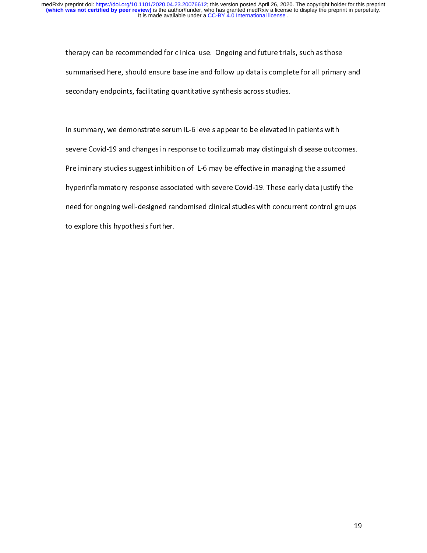therapy can be recommended for clinical use. Ongoing and future trials, such as those<br>summarised here, should ensure baseline and follow up data is complete for all primary and<br>secondary endpoints, facilitating quantitativ

secondary endpoints, facilitating quantitative synthesis across studies.<br>In summary, we demonstrate serum IL-6 levels appear to be elevated in patients with In summary, we demonstrate serum IL-6 levels appear to be elevated in patients with<br>severe Covid-19 and changes in response to tocilizumab may distinguish disease outcom<br>Preliminary studies suggest inhibition of IL-6 may b |<br>|<br>| severe Covid-19 and changes in response to tocilizumab may distinguish disease outcomes.<br>Preliminary studies suggest inhibition of IL-6 may be effective in managing the assumed<br>hyperinflammatory response associated with se Preliminary studies suggest inhibition of IL-6 may be effective in managing the assumed<br>hyperinflammatory response associated with severe Covid-19. These early data justify the<br>need for ongoing well-designed randomised cli Premium, prelimition of IL-6 may be effective in managing the assumed<br>hyperinflammatory response associated with severe Covid-19. These early data justify th<br>need for ongoing well-designed randomised clinical studies with heed for ongoing well-designed randomised clinical studies with concurrent control groups<br>to explore this hypothesis further. need for ongoing well-designed randomised clinical studies with concurrent control groups.<br>to explore this hypothesis further. to explore this hypothesis further.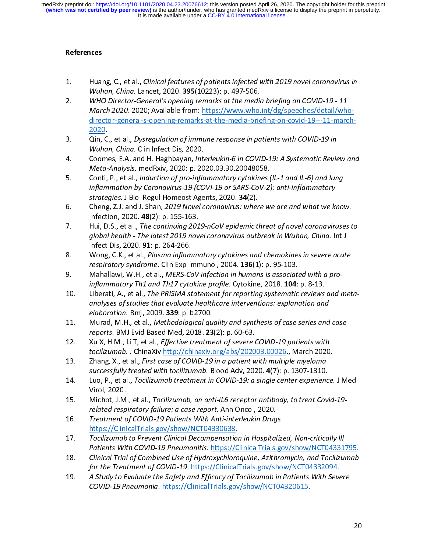It is made available under a CC-BY 4.0 International license. **(which was not certified by peer review)** is the author/funder, who has granted medRxiv a license to display the preprint in perpetuity. medRxiv preprint doi: [https://doi.org/10.1101/2020.04.23.20076612;](https://doi.org/10.1101/2020.04.23.20076612) this version posted April 26, 2020. The copyright holder for this preprint

## References

- 
- $\frac{1}{2}$  $\frac{1}{2}$ 1. Huang, C., et al., Chincal features of patients infected with 2015 novel coronavirus in<br>
1. Wuhan, China. Lancet, 2020. 395(10223): p. 497-506.<br>
2. WHO Director-General's opening remarks at the media briefing on COVID-1 Wuhan, China. Lancet, 2020. 393(10223): p. 497-900.<br>WHO Director-General's opening remarks at the media<br>March 2020. 2020; Available from: <u>https://www.who.</u><br>director-general-s-opening-remarks-at-the-media-brie<br>2020.<br>Qin, C 2. WHO Director-General's opening remarks at the media briefing on COVID-19 - 11<br>
March 2020. 2020; Available from: https://www.who.int/dg/speeches/detail/who<br>
director-general-s-opening-remarks-at-the-media-briefing-on-co March 2020. 2020, Available from: <u>https://www.who.int/dg/speeches/detail/who-director-general-s-opening-remarks-at-the-media-briefing-on-covid-19---11-march<br>2020.<br>Qin, C., et al., *Dysregulation of immune response in pati</u>*
- 
- 
- inflammation by Coronavirus-19 (COVI-19 or SARS-CoV-2): anti-inflammatory<br>chartesises I Biel Beaul Ususe est Agents, 2020, 24(2) 2020.<br>Qin, C., et al., *Dysregulation of immune response in patients with COVID-19 in*<br>Wuhan, China. Clin Infect Dis, 2020.<br>Coomes, E.A. and H. Haghbayan, *Interleukin-6 in COVID-19: A Systematic Review and*<br>*Meta-Analysis* 3. Qin, C., et al., Dysregulation of immune response in patients with COVID-19 in<br>
Wuhan, China. Clin Infect Dis, 2020.<br>
4. Coomes, E.A. and H. Haghbayan, Interleukin-6 in COVID-19: A Systematic Revie<br>
Meta-Analysis. medRx Wuhan, China. China. China. 2020.<br>Coomes, E.A. and H. Haghbayan, *Internal Meta-Analysis.* medRxiv, 2020: p. 20<br>Conti, P., et al., *Induction of pro-infla<br>inflammation by Coronavirus-19 (CO<br>strategies. J Biol Regul Homeost* 4. Coomes, E.A. and H. Haghbayan, *Interleukin-6 in COVID-15*. A systematic Review and<br> *Meta-Analysis.* medRxiv, 2020: p. 2020.03.30.20048058.<br>
Conti, P., et al., *Induction of pro-inflammatory cytokines (IL-1 and IL-6) a* Meta-Analysis. medixity, 2020: p. 2020.03.30.20048058.<br>Conti, P., et al., *Induction of pro-inflammatory cytokines (inflammation by Coronavirus-19 (COVI-19 or SARS-CoV-2,<br>strategies. J Biol Regul Homeost Agents, 2020. 34*
- 
- 5. Conti, Pr., et al., *maacdon of pro-inflammatory cytokines* (*I*-1 and *I*-6) and lung<br>inflammation by Coronavirus-19 (COVI-19 or SARS-CoV-2): anti-inflammatory<br>strategies. J Biol Regul Homeost Agents, 2020. **34**(2).<br>Ch strategies. 3 Biol Regul Homeost Agents, 2020. 34(2).<br>Cheng, Z.J. and J. Shan, 2019 Novel coronavirus: wher<br>Infection, 2020. 48(2): p. 155-163.<br>Hui, D.S., et al., *The continuing 2019-nCoV epidemic t.*<br>global health - The 6. Cheng, 2.3. and 3. Shan, 2019 Novertcommusis: Where we are and what we know.<br>
Infection, 2020. 48(2): p. 155-163.<br>
7. Hui, D.S., et al., The continuing 2019-nCoV epidemic threat of novel coronaviruses t<br>
global health mection, 2020. 48(2): p. 155-163.<br>Hui, D.S., et al., *The continuing 201*<br>global health - The latest 2019 nov<br>Infect Dis, 2020. **91**: p. 264-266.<br>Wong, C.K., et al., *Plasma inflamm*<br>respiratory syndrome. Clin Exp Imn<br>Maha 7. Hui, D.S., et al., The continuing 2015-ncove epidemic threat of nover coronaviruses to<br>global health - The latest 2019 novel coronavirus outbreak in Wuhan, China. Int J<br>Infect Dis, 2020. 91: p. 264-266.<br>8. Wong, C.K., e
- 
- 
- global health The latest 2019 hover coronavirus outbreak in Wuhan, chima. Int 3<br>Infect Dis, 2020. **91**: p. 264-266.<br>Wong, C.K., et al., *Plasma inflammatory cytokines and chemokines in severe acute*<br>respiratory syndrome. mect Dis, 2020. 31. p. 204-200.<br>Wong, C.K., et al., *Plasma inflam*<br>*respiratory syndrome.* Clin Exp Ir<br>Mahallawi, W.H., et al., *MERS-Conflammatory Th1 and Th17 cyto*<br>Liberati, A., et al., *The PRISMA st<br>analyses of studi* 8. Wong, C.K., et al., *Tasma inflammatory cytokines and chemokines in severe acute*<br>respiratory syndrome. Clin Exp Immunol, 2004. **136**(1): p. 95-103.<br>9. Mahallawi, W.H., et al., *MERS-COV infection in humans is associate* respiratory syndrome. Clin Exp Immunol, 2004. 136(1): p. 95-103.<br>Mahallawi, W.H., et al., *MERS-CoV infection in humans is associati*<br>inflammatory Th1 and Th17 cytokine profile. Cytokine, 2018. **104**:<br>Liberati, A., et al., 9. Mahallawi, W.H., et al., MERS-COV injection in humans is associated with a pro-<br>inflammatory Th1 and Th17 cytokine profile. Cytokine, 2018. 104: p. 8-13.<br>10. Liberati, A., et al., The PRISMA statement for reporting syst inflammatory Th1 and Th17 cytokine profile. Cytokine, 2018. 104: p. 8-13.<br>Liberati, A., et al., *The PRISMA statement for reporting systematic reviews*<br>analyses of studies that evaluate healthcare interventions: explanatio 10. Liberati, A., et al., *The PRISMA statement for reporting systematic reviews and meta-*<br>analyses of studies that evaluate healthcare interventions: explanation and<br>elaboration. Bmj, 2009. 339: p. b2700.<br>11. Murad, M.H. analyses of studies that evaluate healthcare interventions: explanation and
- elaboration. Bmj, 2009. 339. p. b2700.<br>Murad, M.H., et al., *Methodological qu*<br>reports. BMJ Evid Based Med, 2018. **23**<br>Xu X, H.M., Li T, et al., *Effective treatme*<br>tocilizumab. . ChinaXiv <u>http://chinaxiv.</u><br>Zhang, X., et
- 
- 
- 11. Murad, M.H., et al., *Methodological quality and synthesis of case series and case*<br>reports. BMJ Evid Based Med, 2018. 23(2): p. 60-63.<br>12. Xu X, H.M., Li T, et al., *Effective treatment of severe COVID-19 patients wit* reports. BMJ Evid Based Med, 2018. 23(2): p. 60-03.<br>Xu X, H.M., Li T, et al., *Effective treatment of severe (*<br>tocilizumab. . ChinaXiv <u>http://chinaxiv.org/abs/2020</u><br>Zhang, X., et al., *First case of COVID-19 in a patient* 12. Xu X, H.M., Li T, et al., Lygective treatment of severe COVID-19 patients with<br>tocilizumab. ChinaXiv http://chinaxiv.org/abs/202003.00026., March 2020<br>13. Zhang, X., et al., First case of COVID-19 in a patient with mul tocilizumab. . ChinaXiv <u>http://chinaxiv.org/abs/202003.00026</u>., March 2020.<br>Zhang, X., et al., *First case of COVID-19 in a patient with multiple myeloma*<br>successfully treated with tocilizumab. Blood Adv, 2020. 4(7): p. 1 13. Zhang, X., et al., Thist case of COVID-19 in a patient with multiple invertional successfully treated with tocilizumab. Blood Adv, 2020. 4(7): p. 1307-1310.<br>14. Luo, P., et al., Tocilizumab treatment in COVID-19: a sin successfully treated with tochlid mubic. Blood Adv, 2020. 4(7): p. 1307-1310.<br>Luo, P., et al., *Tocilizumab treatment in COVID-19: a single center experienc*<br>Virol, 2020.<br>Michot, J.M., et al., *Tocilizumab, an anti-IL6 rec*
- 
- 
- 14. Luo, 1., et al., Tochizumab treatment in COVID-15. a single center experience. 3 Wed<br>Virol, 2020.<br>15. Michot, J.M., et al., Tocilizumab, an anti-IL6 receptor antibody, to treat Covid-19-<br>related respiratory failure: a https://ClinicalTrials.gov/show/NCT04330638.<br>Tocilizumab to Prevent Clinical Decompensation in Hospitalized, Non-critically Ill<br>Patients With COVID-19 Pneumonitis. https://ClinicalTrials.gov/show/NCT04331795.<br>Clinical Tria
- 15. Michot, J.M., et al., Tochizamus, an anti-IL6 receptor antibody, to treat Covid-15-<br>
related respiratory failure: a case report. Ann Oncol, 2020.<br>
16. Treatment of COVID-19 Patients With Anti-interleukin Drugs.<br>
https: reatment of COVID-19 Patients With Anti-interleukin Drughttps://ClinicalTrials.gov/show/NCT04330638.<br>Tocilizumab to Prevent Clinical Decompensation in Hospital<br>Patients With COVID-19 Pneumonitis. https://ClinicalTrials.<br>Cl 16. Treatment of COVID-19 Patients With Anti-Interleukin Drugs.<br>
16. Tocilizumab to Prevent Clinical Decompensation in Hospitalize<br>
Patients With COVID-19 Pneumonitis. https://ClinicalTrials.go<br>
18. Clinical Trial of Combi Clinical Trial of Combined Use of Hydroxychloroquine, Azithromycin, and Tocilizumab<br>for the Treatment of COVID-19. https://ClinicalTrials.gov/show/NCT04332094.<br>A Study to Evaluate the Safety and Efficacy of Tocilizumab in 17. Tochizumab to Prevent Chincal Decompensation in Hospitalized, Non-critically in<br>
Patients With COVID-19 Pneumonitis. https://ClinicalTrials.gov/show/NCT04331<br>
18. Clinical Trial of Combined Use of Hydroxychloroquine, A Patients With COVID-19 Theamonitis. <u>https://ClinicalTrials.gov/show/NCT04331795</u>.<br>Clinical Trial of Combined Use of Hydroxychloroquine, Azithromycin, and Tocilizumab<br>for the Treatment of COVID-19. https://ClinicalTrials.g
- 18. Clinical Trial of Combined Use of Hydroxychiologaine, Azithromycin, and Tochlzamab<br>for the Treatment of COVID-19. https://ClinicalTrials.gov/show/NCT04332094.<br>A Study to Evaluate the Safety and Efficacy of Tocilizumab for the Treatment of COVID-19. <u>Integrizion minister of Tocilizumab in Patients</u> With Seve<br>A Study to Evaluate the Safety and Efficacy of Tocilizumab in Patients With Seve<br>COVID-19 Pneumonia. <u>https://ClinicalTrials.gov/sh</u> 19. A Study to Evaluate the Sufety and Efficacy of Tochizumab in Patients With Severe<br>COVID-19 Pneumonia. https://ClinicalTrials.gov/show/NCT04320615. COVID-19 Pneumonia. https://ClinicalTrials.gov/show/NCT04320015.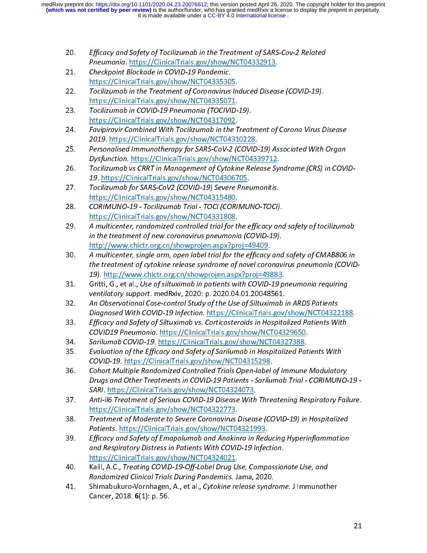- 
- 
- 20. Efficacy and Safety of Tochizumab in the Treatment of SARS-Cov-2 Related<br>
Pneumonia. https://ClinicalTrials.gov/show/NCT04332913.<br>
21. Checkpoint Blockade in COVID-19 Pandemic.<br>
https://ClinicalTrials.gov/show/NCT04335 Pheumonia. <u>Https://ClinicalTrials.gov/show/NCT04332913</u>.<br>Checkpoint Blockade in COVID-19 Pandemic.<br>https://ClinicalTrials.gov/show/NCT04335305.<br>Tocilizumab in the Treatment of Coronavirus Induced Diseas<br>https://ClinicalTr 21. Checkpoint Blockade in COVID-19 Pandemic.<br>
https://ClinicalTrials.gov/show/NCT0433530!<br>
22. Tocilizumab in the Treatment of Coronavirus<br>
https://ClinicalTrials.gov/show/NCT0433507<br>
23. Tocilizumab in COVID-19 Pneumonia Tocilizumab in the Treatment of Coronavirus In<br>https://ClinicalTrials.gov/show/NCT04335071.<br>Tocilizumab in COVID-19 Pneumonia (TOCIVID-<br>https://ClinicalTrials.gov/show/NCT04317092.<br>Favipiravir Combined With Tocilizumab in
- 
- 
- 22. Tochizumab in the Treatment of Coronavirus induced Disease (COVID-15).<br>
22. Tocilizumab in COVID-19 Pneumonia (TOCIVID-19).<br>
23. Tocilizumab in COVID-19 Pneumonia (TOCIVID-19).<br>
24. Favipiravir Combined With Tocilizuma Tocilizumab in COVID-19 Pneumonia (TOCIVID-<br>https://ClinicalTrials.gov/show/NCT04317092.<br>Favipiravir Combined With Tocilizumab in the T<br>2019. https://ClinicalTrials.gov/show/NCT0431<br>Personalised Immunotherapy for SARS-CoV-23. Toch 2010 in COVID-19 The unional (TOCIVID-19).<br>
https://ClinicalTrials.gov/show/NCT04317092.<br>
2019. https://ClinicalTrials.gov/show/NCT04310228<br>
25. Personalised Immunotherapy for SARS-CoV-2 (COVI<br>
Dysfunction. https: Favipiravir Combined With Tocilizumab in the T<br>Favipiravir Combined With Tocilizumab in the T<br>2019. https://ClinicalTrials.gov/show/NCT0431<br>Personalised Immunotherapy for SARS-CoV-2 (C<br>Dysfunction. https://ClinicalTrials.g 2019. <u>https://ClinicalTrials.gov/show/NCT04310220</u>.<br>Personalised Immunotherapy for SARS-CoV-2 (COVID-<br>Dysfunction. https://ClinicalTrials.gov/show/NCT0433<br>Tocilizumab vs CRRT in Management of Cytokine Rele<br>19. https://Cli
- 24. Fravipiravir combined With Tochizamab in the Treatment of Corona Virus Disease<br>2019. https://ClinicalTrials.gov/show/NCT04310228.<br>Dysfunction. https://ClinicalTrials.gov/show/NCT04339712.<br>26. Tocilizumab vs CRRT in Man 25. Personalised Immunotherapy for SARS-CoV-2 (COVID-15) Associated With Organ<br>Dysfunction. https://ClinicalTrials.gov/show/NCT04339712.<br>26. Tocilizumab vs CRRT in Management of Cytokine Release Syndrome (CRS) in COVI<br>19. Dysjunction. <u>https://ClinicalTrials.gov/show/NCT04333712</u>.<br>Tocilizumab vs CRRT in Management of Cytokine Release Syl<br>19. <u>https://ClinicalTrials.gov/show/NCT04306705</u>.<br>Tocilizumab for SARS-CoV2 (COVID-19) Severe Pneumonit
- 
- 
- 26. Tochizumab vs CRRT in Management of Cytokine Release Syndrome (CRS) in COVID-<br>
27. Tocilizumab for SARS-CoV2 (COVID-19) Severe Pneumonitis.<br>
https://ClinicalTrials.gov/show/NCT04315480.<br>
28. CORIMUNO-19 Tocilizumab T 19. https://ClinicalTrials.gov/show/NCT04306705.<br>Tocilizumab for SARS-CoV2 (COVID-19) Severe Pnet<br>https://ClinicalTrials.gov/show/NCT04315480.<br>CORIMUNO-19 - Tocilizumab Trial - TOCI (CORIMU)<br>https://ClinicalTrials.gov/show 27. Tochizumab for SARS-CoV2 (COVID-19) Severe Preumonius.<br>
https://ClinicalTrials.gov/show/NCT04315480.<br>
28. CORIMUNO-19 - Tocilizumab Trial - TOCI (CORIMUNO-TOCI)<br>
https://ClinicalTrials.gov/show/NCT04331808.<br>
29. A mult CORIMUNO-19 - Tocilizumab Trial - TOCI (CORI<br>https://ClinicalTrials.gov/show/NCT04331808.<br>A multicenter, randomized controlled trial for t.<br>in the treatment of new coronavirus pneumonia<br>http://www.chictr.org.cn/showprojen.
- 28. CORIMONO-19 Tochl201100 That TOCI (CORIMONO-TOCI).<br>
29. A multicenter, randomized controlled trial for the efficacy and<br>
in the treatment of new coronavirus pneumonia (COVID-19).<br>
20. A multicenter, single arm, ope A multicenter, randomized controlled trial for the treatment of new coronavirus pneumonia<br>in the treatment of new coronavirus pneumonia<br>http://www.chictr.org.cn/showprojen.aspx?pr<br>A multicenter, single arm, open label tria 29. A multicenter, randomized controlled trial for the efficacy and safety of tochizamidal<br>
in the treatment of new coronavirus pneumonia (COVID-19).<br>
A multicenter, single arm, open label trial for the efficacy and safet in the treatment of new coronavirus pheamonia (COVID-19).<br>http://www.chictr.org.cn/showprojen.aspx?proj=49409.<br>A multicenter, single arm, open label trial for the efficacy and<br>the treatment of cytokine release syndrome of A multicenter, single arm, open label trial for the efficacy<br>the treatment of cytokine release syndrome of novel coro<br>19). http://www.chictr.org.cn/showprojen.aspx?proj=494<br>Gritti, G., et al., Use of siltuximab in patients 30. A multicenter, single arm, open label trial for the efficacy and safety of CMAB800 in<br>the treatment of cytokine release syndrome of novel coronavirus pneumonia (COVID<br>19). http://www.chictr.org.cn/showprojen.aspx?proj= the treatment of cytokine release syndrome of novel coronavirus pneumonia (COVID-
- 
- 19). <u>http://www.chictr.org.cn/showprojen.aspx?proj=49883</u>.<br>Gritti, G., et al., Use of siltuximab in patients with COVID-19 pneumonia requiring<br>ventilatory support. medRxiv, 2020: p. 2020.04.01.20048561.<br>An Observational C 31. Gritti, G., et al., Ose of siltuximab in patients with COVID-15 pheamonia requiring<br>ventilatory support. medRxiv, 2020: p. 2020.04.01.20048561.<br>32. An Observational Case-control Study of the Use of Siltuximab in ARDS P
- An Observational Case-control Study of the Use of Siltuximab in ARDS Patients<br>Diagnosed With COVID-19 Infection. https://ClinicalTrials.gov/show/NCT0432218<br>Efficacy and Safety of Siltuximab vs. Corticosteroids in Hospitali 32. An Observational Case-control Staty of the Use of Siltuximab in ARDS Patients<br>Diagnosed With COVID-19 Infection. https://ClinicalTrials.gov/show/NCT04322<br>33. Efficacy and Safety of Siltuximab vs. Corticosteroids in Hos
- 
- 
- Bridge With COVID-19 Infection: **https://ClinicalTrials.gov/show/NCT04322100**.<br>Efficacy and Safety of Siltuximab vs. Corticosteroids in Hospitalized Patients With<br>COVID19 Pneumonia. <u>https://ClinicalTrials.gov/show/NCT0432</u> Efficacy and Safety of Siltuximab vs. Corticosteroids in Hospitalized Patients With<br>COVID19 Pneumonia. https://ClinicalTrials.gov/show/NCT04329650.<br>34. Sarilumab COVID-19. https://ClinicalTrials.gov/show/NCT04327388.<br>35. E COVID19 Theumoma: https://ClinicalTrials.gov/show/NCT04327388.<br>Corillumab COVID-19. https://ClinicalTrials.gov/show/NCT04327388.<br>Evaluation of the Efficacy and Safety of Sarilumab in Hospitalized Pat<br>COVID-19. https://Clin 34. Sarilumab COVID-12. <u>IIIIps://ClinicalTrials.gov/show/NCT04327388</u>.<br>35. Evaluation of the Efficacy and Safety of Sarilumab in Hospitalized Pat<br>36. Cohort Multiple Randomized Controlled Trials Open-label of Immune<br>2011 25. Evaluation of the Efficacy and Safety of Sarilumab in Hospitalized Patients With<br>
2007 Controlling Controlled Trials Controlled Trials Open-label of Immune Modulator<br>
Drugs and Other Treatments in COVID-19 Patients - S Colort Multiple Randomized Controlled Trials Open-label &<br>Cohort Multiple Randomized Controlled Trials Open-label &<br>Drugs and Other Treatments in COVID-19 Patients - Sarilui<br>SARI. https://ClinicalTrials.gov/show/NCT0432407 36. Cohort Waltiple Randomized Coltrolled Trials Open-label of Immule Modulatory<br>Drugs and Other Treatments in COVID-19 Patients - Sarilumab Trial - CORIMUNO-<br>SARI. https://ClinicalTrials.gov/show/NCT04324073.<br>Anti-il6 Tre Drugs and Other Treatments in COVID-19 Patients - Sarilumab Trial - CORIMUNO-19 -
- 
- 
- SARI. <u>https://ClinicalTrials.gov/show/NCT04324073</u>.<br>Anti-il6 Treatment of Serious COVID-19 Disease With Threatening Respiratory Failure.<br><u>https://ClinicalTrials.gov/show/NCT04322773</u>.<br>Treatment of Moderate to Severe Coron 37. Anti-ilo Treatment of Serious COVID-19 Disease With Threatening Respiratory Failure.<br>
https://ClinicalTrials.gov/show/NCT04322773.<br>
Treatment of Moderate to Severe Coronavirus Disease (COVID-19) in Hospitalized<br>
Patien Treatment of Moderate to Severe Coronavirus Disease (COVID-19) in Hospitalized<br>Patients. https://ClinicalTrials.gov/show/NCT04321993.<br>Efficacy and Safety of Emapalumab and Anakinra in Reducing Hyperinflammation<br>and Respira 38. Treatment of Moderate to Severe Coronavirus Disease (COVID-15) in Hospitanzed<br>
Patients. https://ClinicalTrials.gov/show/NCT04321993.<br>
39. Efficacy and Safety of Emapalumab and Anakinra in Reducing Hyperinflammation<br>
a Patients. <u>Intps://ClinicalTrials.gov/show/NCT04321999</u>.<br>Efficacy and Safety of Emapalumab and Anakinra in Rediand Respiratory Distress in Patients With COVID-19 Infect<br>https://ClinicalTrials.gov/show/NCT04324021.<br>Kalil, A 39. Efficacy and Safety of Emapalumab and Anakima in Reducing Hypermjiammation<br>and Respiratory Distress in Patients With COVID-19 Infection.<br>https://ClinicalTrials.gov/show/NCT04324021.<br>Kalil, A.C., Treating COVID-19-Off-L
- and Respiratory Distress in Fatents With COVID-19 injection.<br>https://ClinicalTrials.gov/show/NCT04324021.<br>Kalil, A.C., Treating COVID-19-Off-Label Drug Use, Compassion<br>Randomized Clinical Trials During Pandemics. Jama, 202 Kalil, A.C., *Treating COVID-19-Off-Label Drug U.*<br>R*andomized Clinical Trials During Pandemics. J*<br>Shimabukuro-Vornhagen, A., et al., *Cytokine re*<br>Cancer, 2018. **6**(1): p. 56.
- 40. Kalil, A.C., Treating COVID-19-Off-Label Drug Ose, Compassionate Ose, and<br>Randomized Clinical Trials During Pandemics. Jama, 2020.<br>41. Shimabukuro-Vornhagen, A., et al., Cytokine release syndrome. J Immunoth<br>Cancer, 20 Randomized Cimical Trials Daring Pandemics. Jama, 2020.<br>Shimabukuro-Vornhagen, A., et al., Cytokine release syndr<br>Cancer, 2018. 6(1): p. 56. 41. Shimabukuro-Vormlagen, A., et al., Cytokine release syndrome. J Immunother<br>Cancer, 2018. 6(1): p. 56. Cancer, 2010.  $\mathbf{v}(1)$ . p. 50.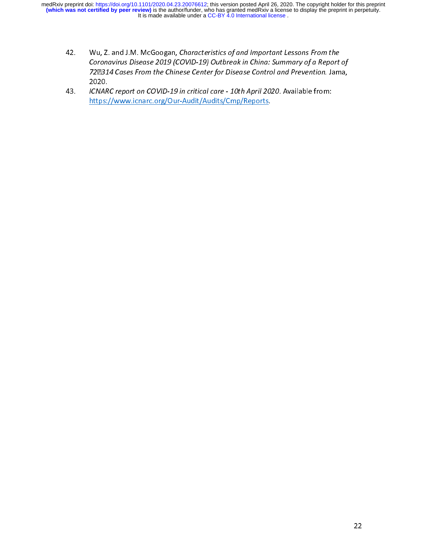- 42. Wu, Z. and J.M. McGoogan, Characteristics of and Important Lessons From the<br>Coronavirus Disease 2019 (COVID-19) Outbreak in China: Summary of a Report of<br>722314 Cases From the Chinese Center for Disease Control and Pre 722314 Cases From the Chinese Center for Disease Control and Prevention. Jama,
- ICNARC report on COVID-19 in critical care 10th April 2020. Available from: https://www.icnarc.org/Our-Audit/Audits/Cmp/Reports. 43. ICNARC report on COVID-19 in critical care - 10th April 2020. Available from:<br>https://www.icnarc.org/Our-Audit/Audits/Cmp/Reports. https://www.icnarc.org/Our-Audit/Audits/Cmp/Reports.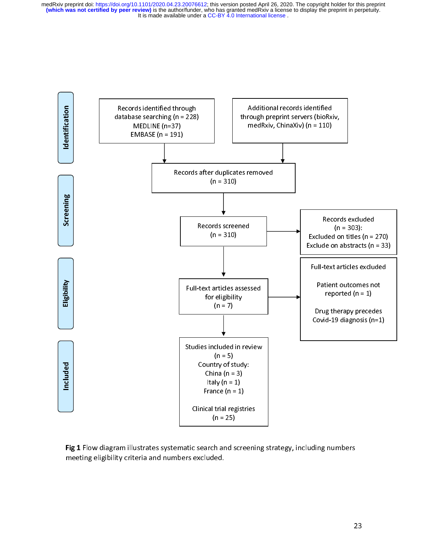

 $\mathsf{r}$ l<br>r Fig 1 Flow diagram indistrates systematic search and screening strategy, including numbers<br>meeting eligibility criteria and numbers excluded. meeting eligibility criteria and numbers excluded.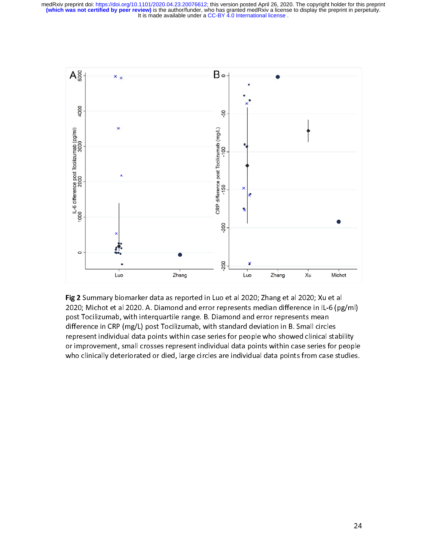

Fig 2 Summary biomarker data as reported in Luo et al 2020; Zhang et al 2020; Xu et al<br>2020; Michot et al 2020. A. Diamond and error represents median difference in IL-6 (pg/ml) post Tocilizumab, with interquartile range. B. Diamond and error represents mean difference in CRP (mg/L) post Tocilizumab, with standard deviation in B. Small circles represent individual data points within case series for people who showed clinical stability or improvement, small crosses represent individual data points within case series for people or improvement, small crosses represent individual data points within case series for people who clinically deteriorated or died, large circles are individual data points from case studies.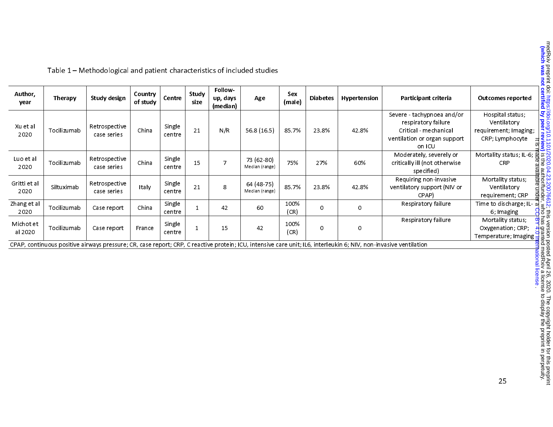| Author,<br>year      | Therapy     | Study design                 | Country<br>of study | Centre           | Study<br>size | <b>Follow</b><br>up, days<br>(median) | Age                          | Sex<br>(male) | <b>Diabetes</b> | Hypertension | Participant criteria                                                                                                                                            | Outcomes reported                                                                                     |
|----------------------|-------------|------------------------------|---------------------|------------------|---------------|---------------------------------------|------------------------------|---------------|-----------------|--------------|-----------------------------------------------------------------------------------------------------------------------------------------------------------------|-------------------------------------------------------------------------------------------------------|
| Xu et al<br>2020     | Tocilizumab | Retrospective<br>case series | China               | Single<br>centre | 21            | N/R                                   | 56.8(16.5)                   | 85.7%         | 23.8%           | 42.8%        | Severe - tachypnoea and/or<br>respiratory failure<br>Critical - mechanical<br>ventilation or organ support<br>on ICU                                            | Hospital status;<br>Ventilatory<br>requirement; Imaging;<br>CRP; Lymphocyte                           |
| Luo et al<br>2020    | Tocilizumab | Retrospective<br>case series | China               | Single<br>centre | 15            | 7                                     | 73 (62-80)<br>Median (range) | 75%           | 27%             | 60%          | Moderately, severely or<br>critically ill (not otherwise<br>specified)                                                                                          | Mortality status; IL-6; g<br>CRP                                                                      |
| Gritti et al<br>2020 | Siltuximab  | Retrospective<br>case series | Italy               | Single<br>centre | 21            | 8                                     | 64 (48-75)<br>Median (range) | 85.7%         | 23.8%           | 42.8%        | Requiring non-invasive<br>ventilatory support (NIV or<br>CPAP)                                                                                                  | ilable<br>Mortality status;<br>Ventilatory<br>s unde<br>requirement; CRP                              |
| Zhang et al<br>2020  | Tocilizumab | Case report                  | China               | Single<br>centre |               | 42                                    | 60                           | 100%<br>(CR)  | $\circ$         | $\circ$      | Respiratory failure                                                                                                                                             | Time to discharge; IL- ها<br>6; Imaging                                                               |
| Michot et<br>al 2020 | Tocilizumab | Case report                  | France              | Single<br>centre |               | 15                                    | 42                           | 100%<br>(CR)  | 0               | $\circ$      | Respiratory failure                                                                                                                                             | ġ<br>Mortality status;<br>Oxygenation; CRP;<br>$\overline{H}$ a<br>Temperature; Imaging $\frac{1}{2}$ |
|                      |             |                              |                     |                  |               |                                       |                              |               |                 |              | CPAP continuous positive airways pressure; CR, case report; CRP, C reactive protein; CU, intensive care unit; U.6, interleukin 6; NIV, non-invasive ventilation |                                                                                                       |

Table 1 – Methodological and patient characteristics of included studies

CPAP, continuous positive airways pressure; CR, case report; CRP, C reactive protein; ICU, intensive care unit; IL6, interleukin 6; NIV, non-invasive ventilation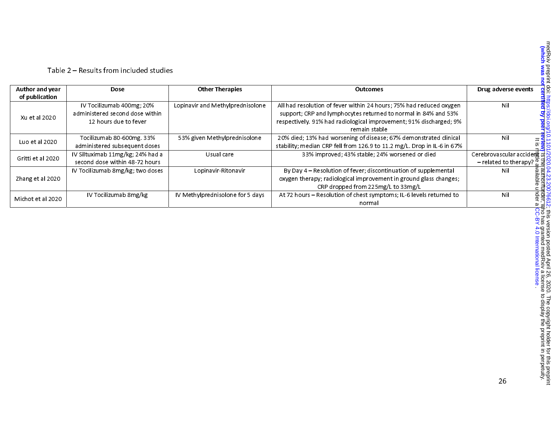| Author and year   | Dose                                                                                  | <b>Other Therapies</b>           | <b>Outcomes</b>                                                                                                                                                                                                              | Drug adverse events                                                |
|-------------------|---------------------------------------------------------------------------------------|----------------------------------|------------------------------------------------------------------------------------------------------------------------------------------------------------------------------------------------------------------------------|--------------------------------------------------------------------|
| of publication    |                                                                                       |                                  |                                                                                                                                                                                                                              |                                                                    |
| Xu et al 2020     | IV Tocilizumab 400mg; 20%<br>administered second dose within<br>12 hours due to fever | Lopinavir and Methylprednisolone | All had resolution of fever within 24 hours; 75% had reduced oxygen<br>support; CRP and lymphocytes returned to normal in 84% and 53%<br>respectively. 91% had radiological improvement; 91% discharged; 9%<br>remain stable | Nil                                                                |
| Luo et al 2020    | Tocilizumab 80-600mg. 33%<br>administered subsequent doses                            | 53% given Methylprednisolone     | 20% died; 13% had worsening of disease; 67% demonstrated clinical<br>stability; median CRP fell from 126.9 to 11.2 mg/L. Drop in IL-6 in 67%                                                                                 | Nil                                                                |
| Gritti et al 2020 | IV Siltuximab 11mg/kg; 24% had a<br>second dose within 48-72 hours                    | Usual care                       | 33% improved; 43% stable; 24% worsened or died                                                                                                                                                                               | Cerebrovascular accidert of<br>– related to therapy? $\frac{1}{3}$ |
| Zhang et al 2020  | IV Tocilizumab 8mg/kg; two doses                                                      | Lopinavir-Ritonavir              | By Day 4 - Resolution of fever; discontinuation of supplemental<br>oxygen therapy; radiological improvement in ground glass changes;<br>CRP dropped from 225mg/L to 33mg/L                                                   | Nil                                                                |
| Michot et al 2020 | IV Tocilizumab 8mg/kg                                                                 | IV Methylprednisolone for 5 days | At 72 hours - Resolution of chest symptoms; IL-6 levels returned to<br>normal                                                                                                                                                | nder.<br>Inder<br>Nil                                              |

#### Table 2 – Results from included studies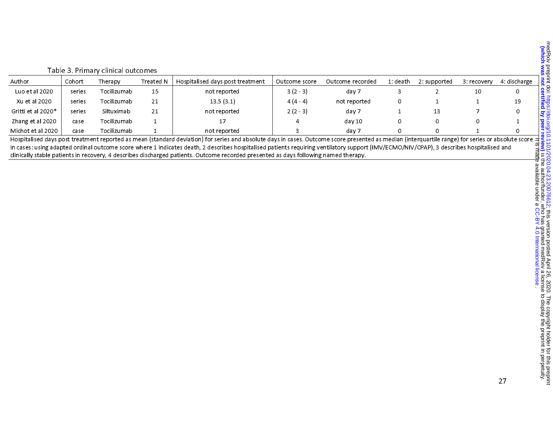|  |  | And the $\frac{1}{2}$<br>And the $\frac{1}{2}$<br>Level of the state of the state of the state of the state of the state of the state of the state of the state of the state of the state of the state of the state of the state of the s |  |  |  |
|--|--|-------------------------------------------------------------------------------------------------------------------------------------------------------------------------------------------------------------------------------------------|--|--|--|
|  |  |                                                                                                                                                                                                                                           |  |  |  |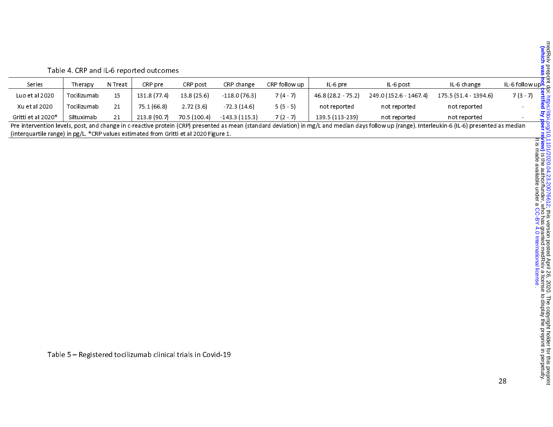|                                                                                                                                                                                                  |                                                                                                                                      |         | Table 4. CRP and IL-6 reported outcomes |            |                |               |                  |                        |                       |                             |  |  |
|--------------------------------------------------------------------------------------------------------------------------------------------------------------------------------------------------|--------------------------------------------------------------------------------------------------------------------------------------|---------|-----------------------------------------|------------|----------------|---------------|------------------|------------------------|-----------------------|-----------------------------|--|--|
| Series                                                                                                                                                                                           | Therapy                                                                                                                              | N Treat | CRP pre                                 | CRP post   | CRP change     | CRP follow up | $ L-6 $ pre      | IL-6 post              | IL-6 change           | IL-6 follow up <sup>2</sup> |  |  |
| Luo et al 2020                                                                                                                                                                                   | Tocilizumab                                                                                                                          | 15      | 131.8 (77.4)                            | 13.8(25.6) | $-118.0(76.3)$ | $7(4-7)$      | 46.8 (28.2 75.2) | 249.0 (152.6 - 1467.4) | 175.5 (51.4 - 1394.6) | $7(3 - 7)$                  |  |  |
| Xu et al 2020                                                                                                                                                                                    | Tocilizumab                                                                                                                          | 21      | 75.1 (66.8)                             | 2.72(3.6)  | $-72.3(14.6)$  | $5(5-5)$      | not reported     | not reported           | not reported          |                             |  |  |
| Gritti et al 2020*                                                                                                                                                                               | $7(2 - 7)$<br>139.5 (113-239)<br>70.5 (100.4)<br>$-143.3(115.3)$<br>213.8 (90.7)<br>Siltuximab<br>21<br>not reported<br>not reported |         |                                         |            |                |               |                  |                        |                       |                             |  |  |
| Pre intervention levels, post, and change in c-reactive protein (CRP) presented as mean (standard deviation) in mg/L and median days follow up (range). Interleukin-6 (IL-6) presented as median |                                                                                                                                      |         |                                         |            |                |               |                  |                        |                       |                             |  |  |
| (interquartile range) in pg/L. *CRP values estimated from Gritti et al 2020 Figure 1.                                                                                                            |                                                                                                                                      |         |                                         |            |                |               |                  |                        |                       |                             |  |  |

Table 5 – Registered tocilizumab clinical trials in Covid-19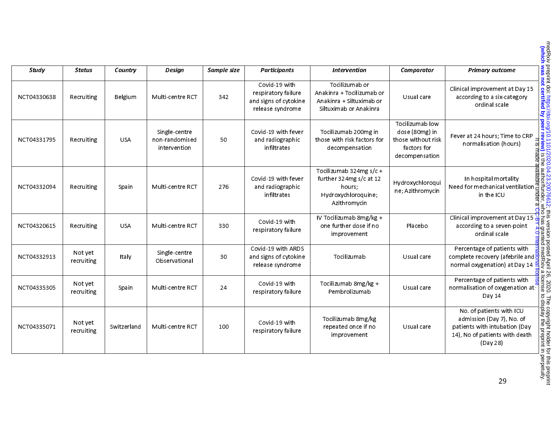| <b>Study</b> | <b>Status</b>         | Country     | Design                                          | Sample size | <b>Participants</b>                                                               | <b>Intervention</b>                                                                                 | Comparator                                                                               |                                                                                                                                                                                                                                                                           |
|--------------|-----------------------|-------------|-------------------------------------------------|-------------|-----------------------------------------------------------------------------------|-----------------------------------------------------------------------------------------------------|------------------------------------------------------------------------------------------|---------------------------------------------------------------------------------------------------------------------------------------------------------------------------------------------------------------------------------------------------------------------------|
| NCT04330638  | Recruiting            | Belgium     | Multi-centre RCT                                | 342         | Covid-19 with<br>respiratory failure<br>and signs of cytokine<br>release syndrome | Tocilizumab or<br>Anakinra + Tocilizumab or<br>Anakinra + Siltuximab or<br>Siltuximab or Anakinra   | Usual care                                                                               |                                                                                                                                                                                                                                                                           |
| NCT04331795  | Recruiting            | <b>USA</b>  | Single-centre<br>non-randomised<br>intervention | 50          | Covid-19 with fever<br>and radiographic<br>infiltrates                            | Tocilizumab 200mg in<br>those with risk factors for<br>decompensation                               | Tocilizumab low<br>dose (80mg) in<br>those without risk<br>factors for<br>decompensation | Primary outcome<br>Clinical improvement at Day 15<br>according to a six-category<br>ordinal scale<br>ordinal scale<br>Fever at 24 hours; Time to CRP<br>normalisation (hours)<br>in hospital mortality<br>in hospital mortality<br>in hospital m                          |
| NCT04332094  | Recruiting            | Spain       | Multi-centre RCT                                | 276         | Covid-19 with fever<br>and radiographic<br>infiltrates                            | Tocilizumab 324mg s/c +<br>further 324mg s/c at 12<br>hours:<br>Hydroxychloroquine;<br>Azithromycin | Hydroxychloroqui<br>ne; Azithromycin                                                     |                                                                                                                                                                                                                                                                           |
| NCT04320615  | Recruiting            | <b>USA</b>  | Multi-centre RCT                                | 330         | Covid-19 with<br>respiratory failure                                              | IV Tocilizumab 8mg/kg +<br>one further dose if no<br>improvement                                    | Placebo                                                                                  |                                                                                                                                                                                                                                                                           |
| NCT04332913  | Not yet<br>recruiting | Italy       | Single-centre<br>Observational                  | 30          | Covid-19 with ARDS<br>and signs of cytokine<br>release syndrome                   | Tocilizumab                                                                                         | Usual care                                                                               |                                                                                                                                                                                                                                                                           |
| NCT04335305  | Not yet<br>recruiting | Spain       | Multi-centre RCT                                | 24          | Covid 19 with<br>respiratory failure                                              | Tocilizumab 8mg/kg +<br>Pembrolizumab                                                               | Usual care                                                                               | Percentage of patients with<br>normalisation of oxygenation at<br>Day 14                                                                                                                                                                                                  |
| NCT04335071  | Not yet<br>recruiting | Switzerland | Multi-centre RCT                                | 100         | Covid 19 with<br>respiratory failure                                              | Tocilizumab 8mg/kg<br>repeated once if no<br>improvement                                            | Usual care                                                                               | l 26, 2020. The copyright holder for this preprint<br>- a license to display the preprint in perpetuity.<br>Ite <mark>qnse</mark><br>No. of patients with ICU<br>admission (Day 7), No. of<br>patients with intubation (Day<br>14), No of patients with death<br>(Day 28) |
|              |                       |             |                                                 |             |                                                                                   |                                                                                                     |                                                                                          |                                                                                                                                                                                                                                                                           |
|              |                       |             |                                                 |             |                                                                                   |                                                                                                     |                                                                                          | 29                                                                                                                                                                                                                                                                        |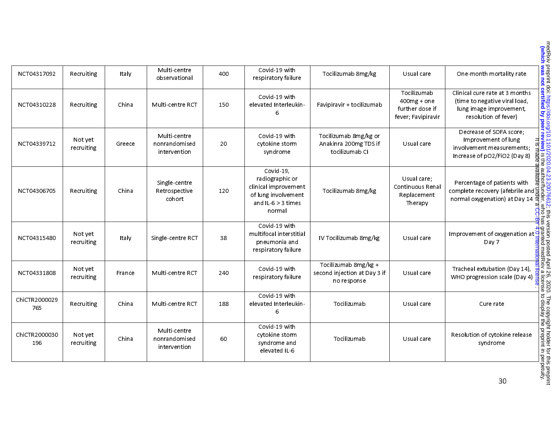| NCT04317092          | Recruiting            | Italy  | Multi-centre<br>observational                 | 400 | Covid-19 with<br>respiratory failure                                                                          | Tocilizumab 8mg/kg                                                  | Usual care                                                            | One-month mortality rate                                                                                                                                                                                                                                                                                                                   |
|----------------------|-----------------------|--------|-----------------------------------------------|-----|---------------------------------------------------------------------------------------------------------------|---------------------------------------------------------------------|-----------------------------------------------------------------------|--------------------------------------------------------------------------------------------------------------------------------------------------------------------------------------------------------------------------------------------------------------------------------------------------------------------------------------------|
| NCT04310228          | Recruiting            | China  | Multi-centre RCT                              | 150 | Covid-19 with<br>elevated Interleukin-<br>6                                                                   | Favipiravir + tocilizumab                                           | Tocilizumab<br>$400mg + one$<br>further dose if<br>fever; Favipiravir | Clinical cure rate at 3 months<br>(time to negative viral load,<br>lung image improvement,<br>resolution of fever)                                                                                                                                                                                                                         |
| NCT04339712          | Not yet<br>recruiting | Greece | Multi-centre<br>nonrandomised<br>intervention | 20  | Covid-19 with<br>cytokine storm<br>syndrome                                                                   | Tocilizumab 8mg/kg or<br>Anakinra 200mg TDS if<br>tocilizumab CI    | Usual care                                                            | Decrease of SOFA score;<br>Improvement of lung<br>involvement measurements:<br>Increase of pO2/FiO2 (Day 8)                                                                                                                                                                                                                                |
| NCT04306705          | Recruiting            | China  | Single-centre<br>Retrospective<br>cohort      | 120 | Covid 19.<br>radiographic or<br>clinical improvement<br>of lung involvement<br>and $IL-6 > 3$ times<br>normal | Tocilizumab 8mg/kg                                                  | Usual care:<br>Continuous Renal<br>Replacement<br>Therapy             | medRxiv preprint doi: https://doi.org/10.11/2020.04.23.20076612; this version posted April 26, 2020. The copyright holder for this preprint<br>(which was not certified by peer review) is the author/funder, who has granted med<br>Percentage of patients with<br>complete recovery (afebrile and 5)<br>normal oxygenation) at Day 14 as |
| NCT04315480          | Not yet<br>recruiting | Italy  | Single-centre RCT                             | 38  | Covid-19 with<br>multifocal interstitial<br>pneumonia and<br>respiratory failure                              | IV Tocilizumab 8mg/kg                                               | Usual care                                                            | Improvement of oxygenation at<br>Day 7                                                                                                                                                                                                                                                                                                     |
| NCT04331808          | Not yet<br>recruiting | France | Multi-centre RCT                              | 240 | Covid-19 with<br>respiratory failure                                                                          | Tocilizumab 8mg/kg +<br>second injection at Day 3 if<br>no response | Usual care                                                            | Tracheal extubation (Day 14),<br>WHO progression scale (Day 4)                                                                                                                                                                                                                                                                             |
| ChiCTR2000029<br>765 | Recruiting            | China  | Multi-centre RCT                              | 188 | Covid-19 with<br>elevated Interleukin-<br>6                                                                   | Tocilizumab                                                         | Usual care                                                            | Cure rate                                                                                                                                                                                                                                                                                                                                  |
| ChiCTR2000030<br>196 | Not yet<br>recruiting | China  | Multi-centre<br>nonrandomised<br>intervention | 60  | Covid-19 with<br>cytokine storm<br>syndrome and<br>elevated IL-6                                              | Tocilizumab                                                         | Usual care                                                            | Resolution of cytokine release<br>syndrome                                                                                                                                                                                                                                                                                                 |
|                      |                       |        |                                               |     |                                                                                                               |                                                                     |                                                                       | 30                                                                                                                                                                                                                                                                                                                                         |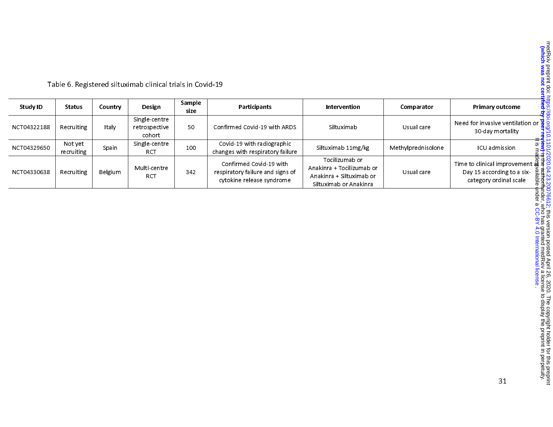| Study ID    | <b>Status</b>         | Countrv | Design                                   | Sample<br>size | Participants                                                                             | Intervention                                                                                      | Comparator         | <b>Primary outcome</b>                                                                                                                           |
|-------------|-----------------------|---------|------------------------------------------|----------------|------------------------------------------------------------------------------------------|---------------------------------------------------------------------------------------------------|--------------------|--------------------------------------------------------------------------------------------------------------------------------------------------|
| NCT04322188 | Recruiting            | Italy   | Single-centre<br>retrospective<br>cohort | 50             | Confirmed Covid-19 with ARDS                                                             | Siltuximab                                                                                        | Usual care         | Need for invasive ventilation or $\frac{1}{9}$ S<br>30-day mortality                                                                             |
| NCT04329650 | Not yet<br>recruiting | Spain   | Single-centre<br>RCT                     | 100            | Covid-19 with radiographic<br>changes with respiratory failure                           | Siltuximab 11mg/kg                                                                                | Methylprednisolone | <u>ದ. ಗ</u><br>ICU admission                                                                                                                     |
| NCT04330638 | Recruiting            | Belgium | Multi-centre<br><b>RCT</b>               | 342            | Confirmed Covid-19 with<br>respiratory failure and signs of<br>cytokine release syndrome | Tocilizumab or<br>Anakinra + Tocilizumab or<br>Anakinra + Siltuximab or<br>Siltuximab or Anakinra | Usual care         | Time to clinical improvement $\frac{3}{40}$ $\frac{3}{8}$ $\frac{1}{5}$<br>Day 15 according to a six-<br>thon≁<br>Sale<br>category ordinal scale |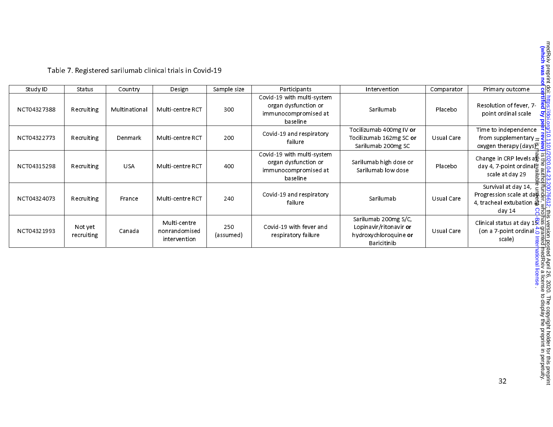Table 7. Registered sarilumab clinical trials in Covid-19

| Study ID    | Status                | Country       | Design                                        | Sample size      | Participants                                                                           | Intervention                                                                           | Comparator | Primary outcome                                                                                                                  |
|-------------|-----------------------|---------------|-----------------------------------------------|------------------|----------------------------------------------------------------------------------------|----------------------------------------------------------------------------------------|------------|----------------------------------------------------------------------------------------------------------------------------------|
| NCT04327388 | Recruiting            | Multinational | Multi-centre RCT                              | 300              | Covid-19 with multi-system<br>organ dysfunction or<br>immunocompromised at<br>baseline | Sarilumab                                                                              | Placebo    | Resolution of fever, 7-<br>point ordinal scale                                                                                   |
| NCT04322773 | Recruiting            | Denmark       | Multi-centre RCT                              | 200              | Covid-19 and respiratory<br>failure                                                    | Tocilizumab 400mg IV or<br>Tocilizumab 162mg SC or<br>Sarilumab 200mg SC               | Usual Care | Time to independence<br>from supplementary $\frac{9}{2}$<br>oxygen therapy (days)                                                |
| NCT04315298 | Recruiting            | <b>USA</b>    | Multi-centre RCT                              | 400              | Covid-19 with multi-system<br>organ dysfunction or<br>immunocompromised at<br>baseline | Sarilumab high dose or<br>Sarilumab low dose                                           | Placebo    | Change in CRP levels $a\overline{B} =$<br>day 4, 7-point ordinal $\frac{a}{5}$ a<br>scale at day 29<br>ailab<br>R                |
| NCT04324073 | Recruiting            | France        | Multi-centre RCT                              | 240              | Covid-19 and respiratory<br>failure                                                    | Sarilumab                                                                              | Usual Care | Survival at day 14, $\frac{\overline{0}}{6}$<br>Progression scale at dag a<br>4, tracheal extubation $\vec{a}$ :<br>day 14<br>႙ႜ |
| NCT04321993 | Not yet<br>recruiting | Canada        | Multi-centre<br>nonrandomised<br>intervention | 250<br>(assumed) | Covid-19 with fever and<br>respiratory failure                                         | Sarilumab 200mg S/C,<br>Lopinavir/ritonavir or<br>hydroxychloroquine or<br>Baricitinib | Usual Care | Clinical status at day $1\overline{\mathcal{S}}\bar{\mathbb{S}}$<br>on a 7-point ordinal $\frac{16}{6}$<br>scale)                |
|             |                       |               |                                               |                  |                                                                                        |                                                                                        |            | lleu i leur xiv a licelis<br>International license                                                                               |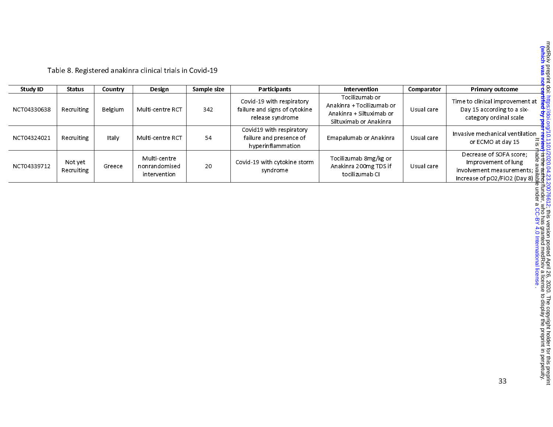| Table 8. Registered anakinra clinical trials in Covid-19 |  |
|----------------------------------------------------------|--|
|                                                          |  |

| Study ID    | Status                | Country | Design                                        | Sample size | Participants                                                                   | Intervention                                                                                      | Comparator | Primary outcome                                                                                                                                                    |
|-------------|-----------------------|---------|-----------------------------------------------|-------------|--------------------------------------------------------------------------------|---------------------------------------------------------------------------------------------------|------------|--------------------------------------------------------------------------------------------------------------------------------------------------------------------|
| NCT04330638 | Recruiting            | Belgium | Multi-centre RCT                              | 342         | Covid-19 with respiratory<br>failure and signs of cytokine<br>release svndrome | Tocilizumab or<br>Anakinra + Tocilizumab or<br>Anakinra + Siltuximab or<br>Siltuximab or Anakinra | Usual care | Time to clinical improvement at<br>Day 15 according to a six-<br>category ordinal scale                                                                            |
| NCT04324021 | Recruiting            | Italy   | Multi-centre RCT                              | 54          | Covid19 with respiratory<br>failure and presence of<br>hyperinflammation       | Emapalumab or Anakinra                                                                            | Usual care | Invasive mechanical ventilation<br>$=$ S<br>or ECMO at day 15                                                                                                      |
| NCT04339712 | Not yet<br>Recruiting | Greece  | Multi-centre<br>nonrandomised<br>intervention | 20          | Covid-19 with cytokine storm<br>syndrome                                       | Tocilizumab 8mg/kg or<br>Anakinra 200mg TDS if<br>tocilizumab Cl                                  | Usual care | Decrease of SOFA score;<br>ချာ <u>း</u><br>။ ဒေ<br>Improvement of lung<br>$\frac{1}{2}$ involvement measurements; $\frac{8}{2}$<br>Increase of pO2/FiO2 (Day 8) 용급 |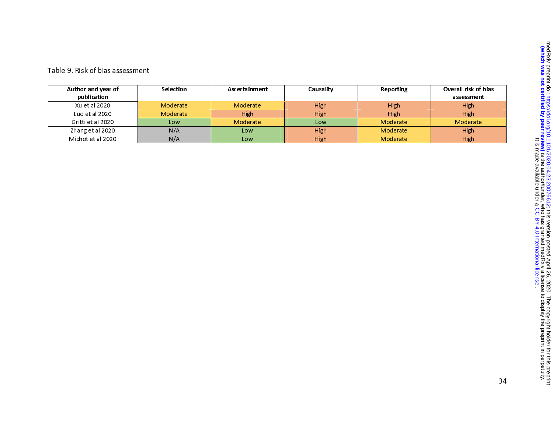| Author and year of<br>publication | Selection | Ascertainment | Causality | Reporting | Overall risk of bias<br>assessment |
|-----------------------------------|-----------|---------------|-----------|-----------|------------------------------------|
| Xu et al 2020                     | Moderate  | Moderate      | High      | High      | High                               |
| Luo et al 2020                    | Moderate  | High          | High      | High      | High                               |
| Gritti et al 2020                 | Low       | Moderate      | Low       | Moderate  | Moderate                           |
| Zhang et al 2020                  | N/A       | Low           | High      | Moderate  | High                               |
| Michot et al 2020                 | N/A       | Low           | High      | Moderate  | High                               |

#### Table 9. Risk of bias assessment